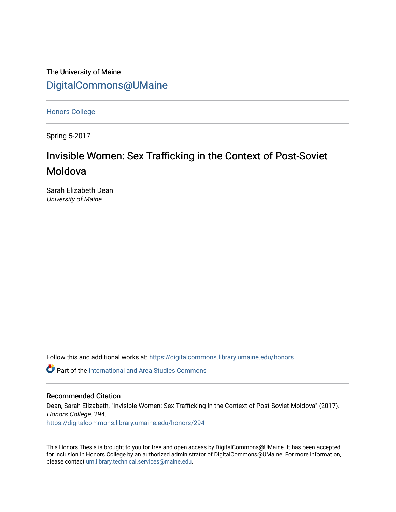The University of Maine [DigitalCommons@UMaine](https://digitalcommons.library.umaine.edu/)

[Honors College](https://digitalcommons.library.umaine.edu/honors)

Spring 5-2017

# Invisible Women: Sex Trafficking in the Context of Post-Soviet Moldova

Sarah Elizabeth Dean University of Maine

Follow this and additional works at: [https://digitalcommons.library.umaine.edu/honors](https://digitalcommons.library.umaine.edu/honors?utm_source=digitalcommons.library.umaine.edu%2Fhonors%2F294&utm_medium=PDF&utm_campaign=PDFCoverPages) 

**P** Part of the International and Area Studies Commons

#### Recommended Citation

Dean, Sarah Elizabeth, "Invisible Women: Sex Trafficking in the Context of Post-Soviet Moldova" (2017). Honors College. 294. [https://digitalcommons.library.umaine.edu/honors/294](https://digitalcommons.library.umaine.edu/honors/294?utm_source=digitalcommons.library.umaine.edu%2Fhonors%2F294&utm_medium=PDF&utm_campaign=PDFCoverPages) 

This Honors Thesis is brought to you for free and open access by DigitalCommons@UMaine. It has been accepted for inclusion in Honors College by an authorized administrator of DigitalCommons@UMaine. For more information, please contact [um.library.technical.services@maine.edu.](mailto:um.library.technical.services@maine.edu)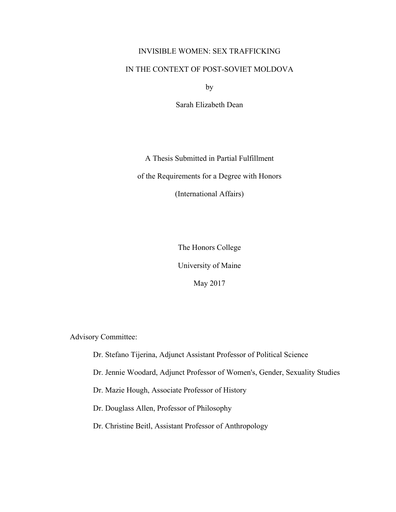# INVISIBLE WOMEN: SEX TRAFFICKING

# IN THE CONTEXT OF POST-SOVIET MOLDOVA

by

Sarah Elizabeth Dean

A Thesis Submitted in Partial Fulfillment of the Requirements for a Degree with Honors (International Affairs)

The Honors College

University of Maine

May 2017

Advisory Committee:

Dr. Stefano Tijerina, Adjunct Assistant Professor of Political Science

Dr. Jennie Woodard, Adjunct Professor of Women's, Gender, Sexuality Studies

Dr. Mazie Hough, Associate Professor of History

Dr. Douglass Allen, Professor of Philosophy

Dr. Christine Beitl, Assistant Professor of Anthropology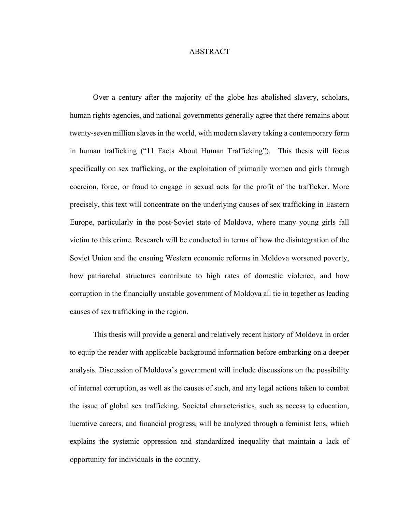#### **ABSTRACT**

Over a century after the majority of the globe has abolished slavery, scholars, human rights agencies, and national governments generally agree that there remains about twenty-seven million slaves in the world, with modern slavery taking a contemporary form in human trafficking ("11 Facts About Human Trafficking"). This thesis will focus specifically on sex trafficking, or the exploitation of primarily women and girls through coercion, force, or fraud to engage in sexual acts for the profit of the trafficker. More precisely, this text will concentrate on the underlying causes of sex trafficking in Eastern Europe, particularly in the post-Soviet state of Moldova, where many young girls fall victim to this crime. Research will be conducted in terms of how the disintegration of the Soviet Union and the ensuing Western economic reforms in Moldova worsened poverty, how patriarchal structures contribute to high rates of domestic violence, and how corruption in the financially unstable government of Moldova all tie in together as leading causes of sex trafficking in the region.

This thesis will provide a general and relatively recent history of Moldova in order to equip the reader with applicable background information before embarking on a deeper analysis. Discussion of Moldova's government will include discussions on the possibility of internal corruption, as well as the causes of such, and any legal actions taken to combat the issue of global sex trafficking. Societal characteristics, such as access to education, lucrative careers, and financial progress, will be analyzed through a feminist lens, which explains the systemic oppression and standardized inequality that maintain a lack of opportunity for individuals in the country.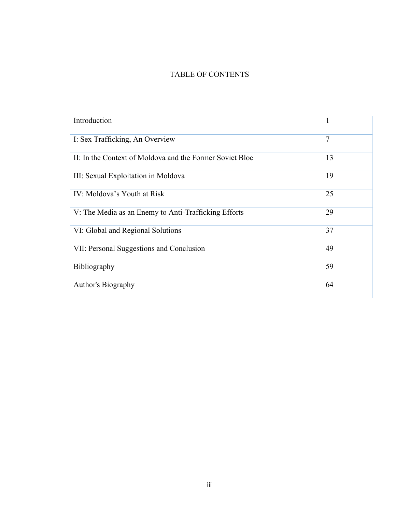# TABLE OF CONTENTS

| Introduction                                             | $\mathbf{1}$   |
|----------------------------------------------------------|----------------|
| I: Sex Trafficking, An Overview                          | $\overline{7}$ |
| II: In the Context of Moldova and the Former Soviet Bloc | 13             |
| III: Sexual Exploitation in Moldova                      | 19             |
| IV: Moldova's Youth at Risk                              | 25             |
| V: The Media as an Enemy to Anti-Trafficking Efforts     | 29             |
| VI: Global and Regional Solutions                        | 37             |
| VII: Personal Suggestions and Conclusion                 | 49             |
| Bibliography                                             | 59             |
| Author's Biography                                       | 64             |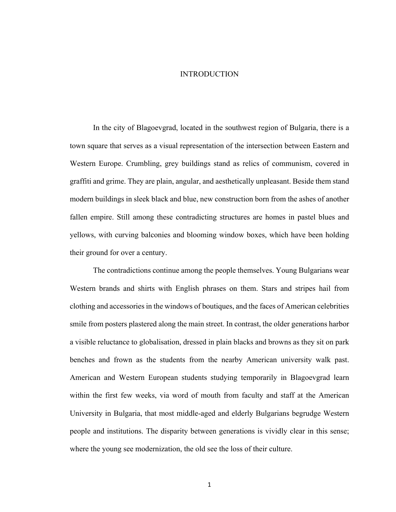#### INTRODUCTION

In the city of Blagoevgrad, located in the southwest region of Bulgaria, there is a town square that serves as a visual representation of the intersection between Eastern and Western Europe. Crumbling, grey buildings stand as relics of communism, covered in graffiti and grime. They are plain, angular, and aesthetically unpleasant. Beside them stand modern buildings in sleek black and blue, new construction born from the ashes of another fallen empire. Still among these contradicting structures are homes in pastel blues and yellows, with curving balconies and blooming window boxes, which have been holding their ground for over a century.

The contradictions continue among the people themselves. Young Bulgarians wear Western brands and shirts with English phrases on them. Stars and stripes hail from clothing and accessories in the windows of boutiques, and the faces of American celebrities smile from posters plastered along the main street. In contrast, the older generations harbor a visible reluctance to globalisation, dressed in plain blacks and browns as they sit on park benches and frown as the students from the nearby American university walk past. American and Western European students studying temporarily in Blagoevgrad learn within the first few weeks, via word of mouth from faculty and staff at the American University in Bulgaria, that most middle-aged and elderly Bulgarians begrudge Western people and institutions. The disparity between generations is vividly clear in this sense; where the young see modernization, the old see the loss of their culture.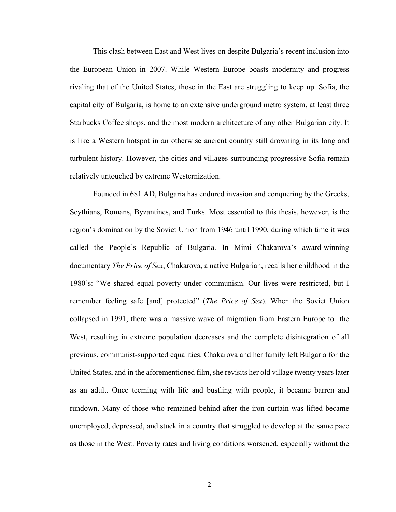This clash between East and West lives on despite Bulgaria's recent inclusion into the European Union in 2007. While Western Europe boasts modernity and progress rivaling that of the United States, those in the East are struggling to keep up. Sofia, the capital city of Bulgaria, is home to an extensive underground metro system, at least three Starbucks Coffee shops, and the most modern architecture of any other Bulgarian city. It is like a Western hotspot in an otherwise ancient country still drowning in its long and turbulent history. However, the cities and villages surrounding progressive Sofia remain relatively untouched by extreme Westernization.

Founded in 681 AD, Bulgaria has endured invasion and conquering by the Greeks, Scythians, Romans, Byzantines, and Turks. Most essential to this thesis, however, is the region's domination by the Soviet Union from 1946 until 1990, during which time it was called the People's Republic of Bulgaria. In Mimi Chakarova's award-winning documentary *The Price of Sex*, Chakarova, a native Bulgarian, recalls her childhood in the 1980's: "We shared equal poverty under communism. Our lives were restricted, but I remember feeling safe [and] protected" (*The Price of Sex*). When the Soviet Union collapsed in 1991, there was a massive wave of migration from Eastern Europe to the West, resulting in extreme population decreases and the complete disintegration of all previous, communist-supported equalities. Chakarova and her family left Bulgaria for the United States, and in the aforementioned film, she revisits her old village twenty years later as an adult. Once teeming with life and bustling with people, it became barren and rundown. Many of those who remained behind after the iron curtain was lifted became unemployed, depressed, and stuck in a country that struggled to develop at the same pace as those in the West. Poverty rates and living conditions worsened, especially without the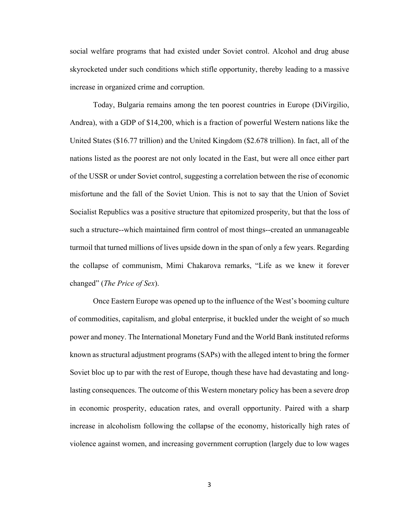social welfare programs that had existed under Soviet control. Alcohol and drug abuse skyrocketed under such conditions which stifle opportunity, thereby leading to a massive increase in organized crime and corruption.

Today, Bulgaria remains among the ten poorest countries in Europe (DiVirgilio, Andrea), with a GDP of \$14,200, which is a fraction of powerful Western nations like the United States (\$16.77 trillion) and the United Kingdom (\$2.678 trillion). In fact, all of the nations listed as the poorest are not only located in the East, but were all once either part of the USSR or under Soviet control, suggesting a correlation between the rise of economic misfortune and the fall of the Soviet Union. This is not to say that the Union of Soviet Socialist Republics was a positive structure that epitomized prosperity, but that the loss of such a structure--which maintained firm control of most things--created an unmanageable turmoil that turned millions of lives upside down in the span of only a few years. Regarding the collapse of communism, Mimi Chakarova remarks, "Life as we knew it forever changed" (*The Price of Sex*).

Once Eastern Europe was opened up to the influence of the West's booming culture of commodities, capitalism, and global enterprise, it buckled under the weight of so much power and money. The International Monetary Fund and the World Bank instituted reforms known as structural adjustment programs (SAPs) with the alleged intent to bring the former Soviet bloc up to par with the rest of Europe, though these have had devastating and longlasting consequences. The outcome of this Western monetary policy has been a severe drop in economic prosperity, education rates, and overall opportunity. Paired with a sharp increase in alcoholism following the collapse of the economy, historically high rates of violence against women, and increasing government corruption (largely due to low wages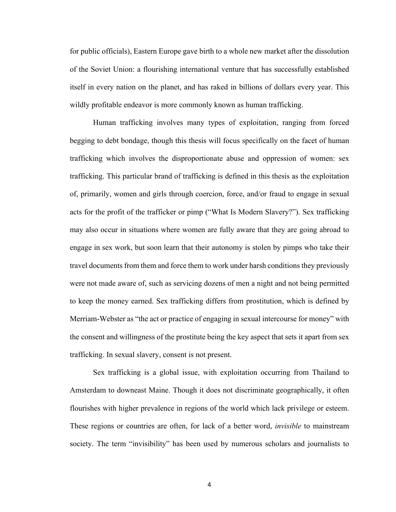for public officials), Eastern Europe gave birth to a whole new market after the dissolution of the Soviet Union: a flourishing international venture that has successfully established itself in every nation on the planet, and has raked in billions of dollars every year. This wildly profitable endeavor is more commonly known as human trafficking.

Human trafficking involves many types of exploitation, ranging from forced begging to debt bondage, though this thesis will focus specifically on the facet of human trafficking which involves the disproportionate abuse and oppression of women: sex trafficking. This particular brand of trafficking is defined in this thesis as the exploitation of, primarily, women and girls through coercion, force, and/or fraud to engage in sexual acts for the profit of the trafficker or pimp ("What Is Modern Slavery?"). Sex trafficking may also occur in situations where women are fully aware that they are going abroad to engage in sex work, but soon learn that their autonomy is stolen by pimps who take their travel documents from them and force them to work under harsh conditions they previously were not made aware of, such as servicing dozens of men a night and not being permitted to keep the money earned. Sex trafficking differs from prostitution, which is defined by Merriam-Webster as "the act or practice of engaging in sexual intercourse for money" with the consent and willingness of the prostitute being the key aspect that sets it apart from sex trafficking. In sexual slavery, consent is not present.

Sex trafficking is a global issue, with exploitation occurring from Thailand to Amsterdam to downeast Maine. Though it does not discriminate geographically, it often flourishes with higher prevalence in regions of the world which lack privilege or esteem. These regions or countries are often, for lack of a better word, *invisible* to mainstream society. The term "invisibility" has been used by numerous scholars and journalists to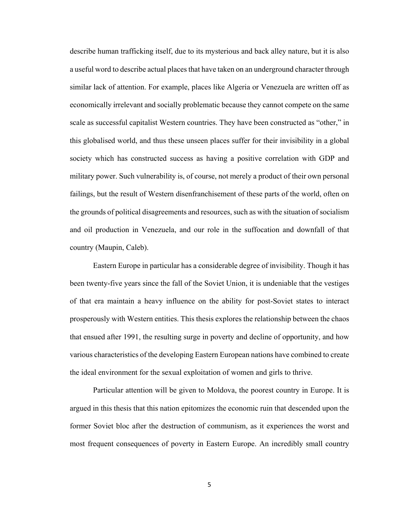describe human trafficking itself, due to its mysterious and back alley nature, but it is also a useful word to describe actual places that have taken on an underground character through similar lack of attention. For example, places like Algeria or Venezuela are written off as economically irrelevant and socially problematic because they cannot compete on the same scale as successful capitalist Western countries. They have been constructed as "other," in this globalised world, and thus these unseen places suffer for their invisibility in a global society which has constructed success as having a positive correlation with GDP and military power. Such vulnerability is, of course, not merely a product of their own personal failings, but the result of Western disenfranchisement of these parts of the world, often on the grounds of political disagreements and resources, such as with the situation of socialism and oil production in Venezuela, and our role in the suffocation and downfall of that country (Maupin, Caleb).

Eastern Europe in particular has a considerable degree of invisibility. Though it has been twenty-five years since the fall of the Soviet Union, it is undeniable that the vestiges of that era maintain a heavy influence on the ability for post-Soviet states to interact prosperously with Western entities. This thesis explores the relationship between the chaos that ensued after 1991, the resulting surge in poverty and decline of opportunity, and how various characteristics of the developing Eastern European nations have combined to create the ideal environment for the sexual exploitation of women and girls to thrive.

Particular attention will be given to Moldova, the poorest country in Europe. It is argued in this thesis that this nation epitomizes the economic ruin that descended upon the former Soviet bloc after the destruction of communism, as it experiences the worst and most frequent consequences of poverty in Eastern Europe. An incredibly small country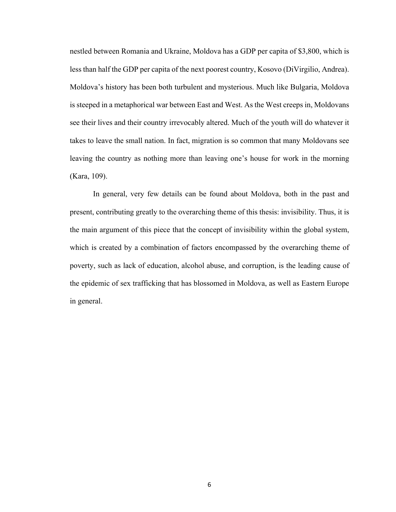nestled between Romania and Ukraine, Moldova has a GDP per capita of \$3,800, which is less than half the GDP per capita of the next poorest country, Kosovo (DiVirgilio, Andrea). Moldova's history has been both turbulent and mysterious. Much like Bulgaria, Moldova is steeped in a metaphorical war between East and West. As the West creeps in, Moldovans see their lives and their country irrevocably altered. Much of the youth will do whatever it takes to leave the small nation. In fact, migration is so common that many Moldovans see leaving the country as nothing more than leaving one's house for work in the morning (Kara, 109).

In general, very few details can be found about Moldova, both in the past and present, contributing greatly to the overarching theme of this thesis: invisibility. Thus, it is the main argument of this piece that the concept of invisibility within the global system, which is created by a combination of factors encompassed by the overarching theme of poverty, such as lack of education, alcohol abuse, and corruption, is the leading cause of the epidemic of sex trafficking that has blossomed in Moldova, as well as Eastern Europe in general.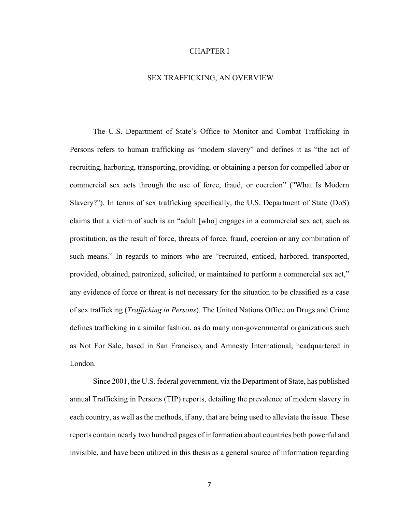#### CHAPTER I

#### SEX TRAFFICKING, AN OVERVIEW

The U.S. Department of State's Office to Monitor and Combat Trafficking in Persons refers to human trafficking as "modern slavery" and defines it as "the act of recruiting, harboring, transporting, providing, or obtaining a person for compelled labor or commercial sex acts through the use of force, fraud, or coercion" ("What Is Modern Slavery?"). In terms of sex trafficking specifically, the U.S. Department of State (DoS) claims that a victim of such is an "adult [who] engages in a commercial sex act, such as prostitution, as the result of force, threats of force, fraud, coercion or any combination of such means." In regards to minors who are "recruited, enticed, harbored, transported, provided, obtained, patronized, solicited, or maintained to perform a commercial sex act," any evidence of force or threat is not necessary for the situation to be classified as a case of sex trafficking (*Trafficking in Persons*). The United Nations Office on Drugs and Crime defines trafficking in a similar fashion, as do many non-governmental organizations such as Not For Sale, based in San Francisco, and Amnesty International, headquartered in London.

Since 2001, the U.S. federal government, via the Department of State, has published annual Trafficking in Persons (TIP) reports, detailing the prevalence of modern slavery in each country, as well as the methods, if any, that are being used to alleviate the issue. These reports contain nearly two hundred pages of information about countries both powerful and invisible, and have been utilized in this thesis as a general source of information regarding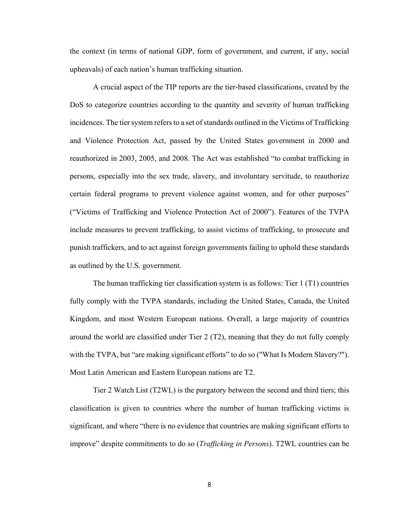the context (in terms of national GDP, form of government, and current, if any, social upheavals) of each nation's human trafficking situation.

A crucial aspect of the TIP reports are the tier-based classifications, created by the DoS to categorize countries according to the quantity and severity of human trafficking incidences. The tier system refers to a set of standards outlined in the Victims of Trafficking and Violence Protection Act, passed by the United States government in 2000 and reauthorized in 2003, 2005, and 2008. The Act was established "to combat trafficking in persons, especially into the sex trade, slavery, and involuntary servitude, to reauthorize certain federal programs to prevent violence against women, and for other purposes" ("Victims of Trafficking and Violence Protection Act of 2000"). Features of the TVPA include measures to prevent trafficking, to assist victims of trafficking, to prosecute and punish traffickers, and to act against foreign governments failing to uphold these standards as outlined by the U.S. government.

The human trafficking tier classification system is as follows: Tier 1 (T1) countries fully comply with the TVPA standards, including the United States, Canada, the United Kingdom, and most Western European nations. Overall, a large majority of countries around the world are classified under Tier 2 (T2), meaning that they do not fully comply with the TVPA, but "are making significant efforts" to do so ("What Is Modern Slavery?"). Most Latin American and Eastern European nations are T2.

Tier 2 Watch List (T2WL) is the purgatory between the second and third tiers; this classification is given to countries where the number of human trafficking victims is significant, and where "there is no evidence that countries are making significant efforts to improve" despite commitments to do so (*Trafficking in Persons*). T2WL countries can be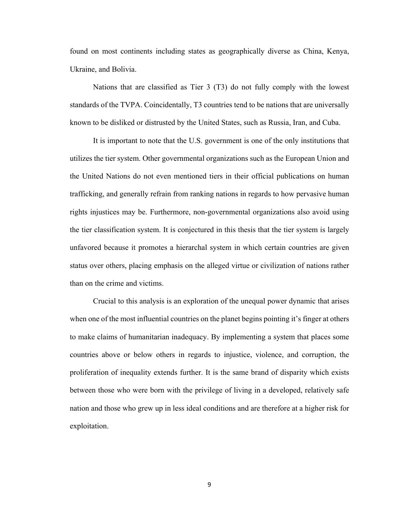found on most continents including states as geographically diverse as China, Kenya, Ukraine, and Bolivia.

Nations that are classified as Tier 3 (T3) do not fully comply with the lowest standards of the TVPA. Coincidentally, T3 countries tend to be nations that are universally known to be disliked or distrusted by the United States, such as Russia, Iran, and Cuba.

It is important to note that the U.S. government is one of the only institutions that utilizes the tier system. Other governmental organizations such as the European Union and the United Nations do not even mentioned tiers in their official publications on human trafficking, and generally refrain from ranking nations in regards to how pervasive human rights injustices may be. Furthermore, non-governmental organizations also avoid using the tier classification system. It is conjectured in this thesis that the tier system is largely unfavored because it promotes a hierarchal system in which certain countries are given status over others, placing emphasis on the alleged virtue or civilization of nations rather than on the crime and victims.

Crucial to this analysis is an exploration of the unequal power dynamic that arises when one of the most influential countries on the planet begins pointing it's finger at others to make claims of humanitarian inadequacy. By implementing a system that places some countries above or below others in regards to injustice, violence, and corruption, the proliferation of inequality extends further. It is the same brand of disparity which exists between those who were born with the privilege of living in a developed, relatively safe nation and those who grew up in less ideal conditions and are therefore at a higher risk for exploitation.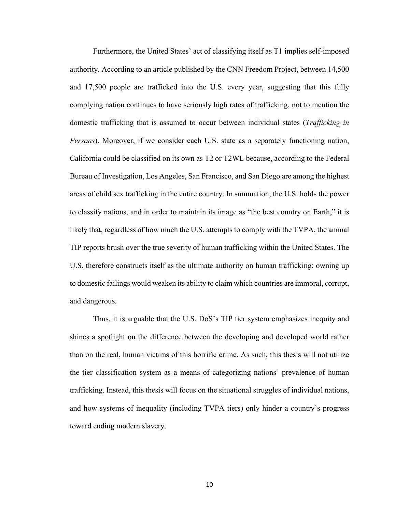Furthermore, the United States' act of classifying itself as T1 implies self-imposed authority. According to an article published by the CNN Freedom Project, between 14,500 and 17,500 people are trafficked into the U.S. every year, suggesting that this fully complying nation continues to have seriously high rates of trafficking, not to mention the domestic trafficking that is assumed to occur between individual states (*Trafficking in Persons*). Moreover, if we consider each U.S. state as a separately functioning nation, California could be classified on its own as T2 or T2WL because, according to the Federal Bureau of Investigation, Los Angeles, San Francisco, and San Diego are among the highest areas of child sex trafficking in the entire country. In summation, the U.S. holds the power to classify nations, and in order to maintain its image as "the best country on Earth," it is likely that, regardless of how much the U.S. attempts to comply with the TVPA, the annual TIP reports brush over the true severity of human trafficking within the United States. The U.S. therefore constructs itself as the ultimate authority on human trafficking; owning up to domestic failings would weaken its ability to claim which countries are immoral, corrupt, and dangerous.

Thus, it is arguable that the U.S. DoS's TIP tier system emphasizes inequity and shines a spotlight on the difference between the developing and developed world rather than on the real, human victims of this horrific crime. As such, this thesis will not utilize the tier classification system as a means of categorizing nations' prevalence of human trafficking. Instead, this thesis will focus on the situational struggles of individual nations, and how systems of inequality (including TVPA tiers) only hinder a country's progress toward ending modern slavery.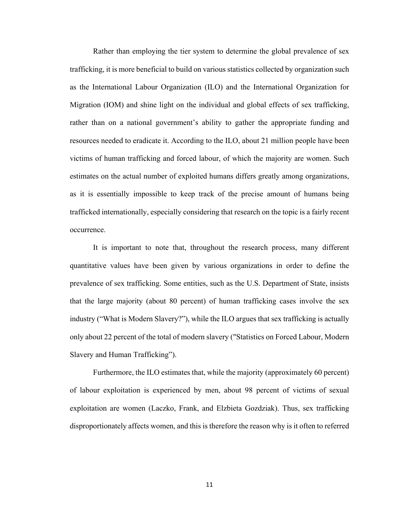Rather than employing the tier system to determine the global prevalence of sex trafficking, it is more beneficial to build on various statistics collected by organization such as the International Labour Organization (ILO) and the International Organization for Migration (IOM) and shine light on the individual and global effects of sex trafficking, rather than on a national government's ability to gather the appropriate funding and resources needed to eradicate it. According to the ILO, about 21 million people have been victims of human trafficking and forced labour, of which the majority are women. Such estimates on the actual number of exploited humans differs greatly among organizations, as it is essentially impossible to keep track of the precise amount of humans being trafficked internationally, especially considering that research on the topic is a fairly recent occurrence.

It is important to note that, throughout the research process, many different quantitative values have been given by various organizations in order to define the prevalence of sex trafficking. Some entities, such as the U.S. Department of State, insists that the large majority (about 80 percent) of human trafficking cases involve the sex industry ("What is Modern Slavery?"), while the ILO argues that sex trafficking is actually only about 22 percent of the total of modern slavery ("Statistics on Forced Labour, Modern Slavery and Human Trafficking").

Furthermore, the ILO estimates that, while the majority (approximately 60 percent) of labour exploitation is experienced by men, about 98 percent of victims of sexual exploitation are women (Laczko, Frank, and Elzbieta Gozdziak). Thus, sex trafficking disproportionately affects women, and this is therefore the reason why is it often to referred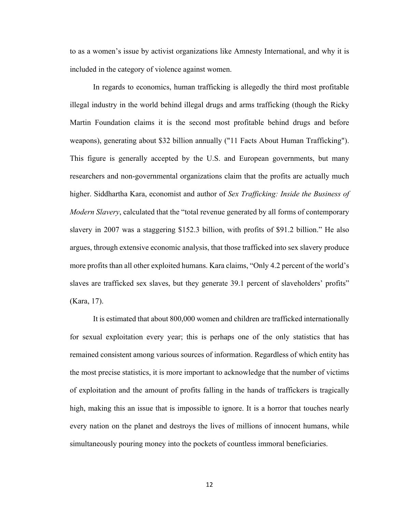to as a women's issue by activist organizations like Amnesty International, and why it is included in the category of violence against women.

In regards to economics, human trafficking is allegedly the third most profitable illegal industry in the world behind illegal drugs and arms trafficking (though the Ricky Martin Foundation claims it is the second most profitable behind drugs and before weapons), generating about \$32 billion annually ("11 Facts About Human Trafficking"). This figure is generally accepted by the U.S. and European governments, but many researchers and non-governmental organizations claim that the profits are actually much higher. Siddhartha Kara, economist and author of *Sex Trafficking: Inside the Business of Modern Slavery*, calculated that the "total revenue generated by all forms of contemporary slavery in 2007 was a staggering \$152.3 billion, with profits of \$91.2 billion." He also argues, through extensive economic analysis, that those trafficked into sex slavery produce more profits than all other exploited humans. Kara claims, "Only 4.2 percent of the world's slaves are trafficked sex slaves, but they generate 39.1 percent of slaveholders' profits" (Kara, 17).

It is estimated that about 800,000 women and children are trafficked internationally for sexual exploitation every year; this is perhaps one of the only statistics that has remained consistent among various sources of information. Regardless of which entity has the most precise statistics, it is more important to acknowledge that the number of victims of exploitation and the amount of profits falling in the hands of traffickers is tragically high, making this an issue that is impossible to ignore. It is a horror that touches nearly every nation on the planet and destroys the lives of millions of innocent humans, while simultaneously pouring money into the pockets of countless immoral beneficiaries.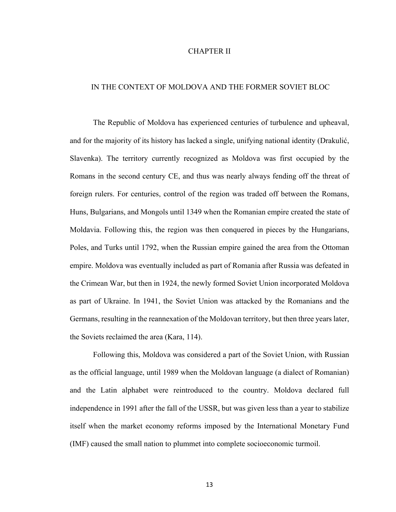#### CHAPTER II

#### IN THE CONTEXT OF MOLDOVA AND THE FORMER SOVIET BLOC

The Republic of Moldova has experienced centuries of turbulence and upheaval, and for the majority of its history has lacked a single, unifying national identity (Drakulić, Slavenka). The territory currently recognized as Moldova was first occupied by the Romans in the second century CE, and thus was nearly always fending off the threat of foreign rulers. For centuries, control of the region was traded off between the Romans, Huns, Bulgarians, and Mongols until 1349 when the Romanian empire created the state of Moldavia. Following this, the region was then conquered in pieces by the Hungarians, Poles, and Turks until 1792, when the Russian empire gained the area from the Ottoman empire. Moldova was eventually included as part of Romania after Russia was defeated in the Crimean War, but then in 1924, the newly formed Soviet Union incorporated Moldova as part of Ukraine. In 1941, the Soviet Union was attacked by the Romanians and the Germans, resulting in the reannexation of the Moldovan territory, but then three years later, the Soviets reclaimed the area (Kara, 114).

Following this, Moldova was considered a part of the Soviet Union, with Russian as the official language, until 1989 when the Moldovan language (a dialect of Romanian) and the Latin alphabet were reintroduced to the country. Moldova declared full independence in 1991 after the fall of the USSR, but was given less than a year to stabilize itself when the market economy reforms imposed by the International Monetary Fund (IMF) caused the small nation to plummet into complete socioeconomic turmoil.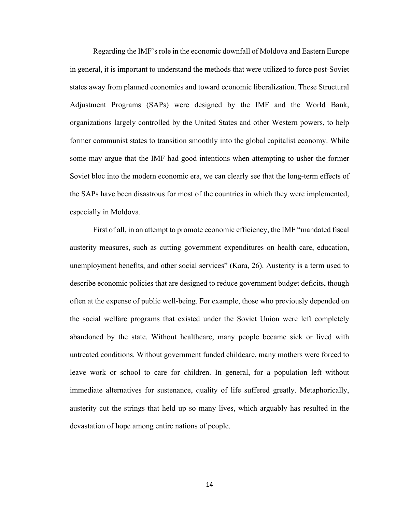Regarding the IMF's role in the economic downfall of Moldova and Eastern Europe in general, it is important to understand the methods that were utilized to force post-Soviet states away from planned economies and toward economic liberalization. These Structural Adjustment Programs (SAPs) were designed by the IMF and the World Bank, organizations largely controlled by the United States and other Western powers, to help former communist states to transition smoothly into the global capitalist economy. While some may argue that the IMF had good intentions when attempting to usher the former Soviet bloc into the modern economic era, we can clearly see that the long-term effects of the SAPs have been disastrous for most of the countries in which they were implemented, especially in Moldova.

First of all, in an attempt to promote economic efficiency, the IMF "mandated fiscal austerity measures, such as cutting government expenditures on health care, education, unemployment benefits, and other social services" (Kara, 26). Austerity is a term used to describe economic policies that are designed to reduce government budget deficits, though often at the expense of public well-being. For example, those who previously depended on the social welfare programs that existed under the Soviet Union were left completely abandoned by the state. Without healthcare, many people became sick or lived with untreated conditions. Without government funded childcare, many mothers were forced to leave work or school to care for children. In general, for a population left without immediate alternatives for sustenance, quality of life suffered greatly. Metaphorically, austerity cut the strings that held up so many lives, which arguably has resulted in the devastation of hope among entire nations of people.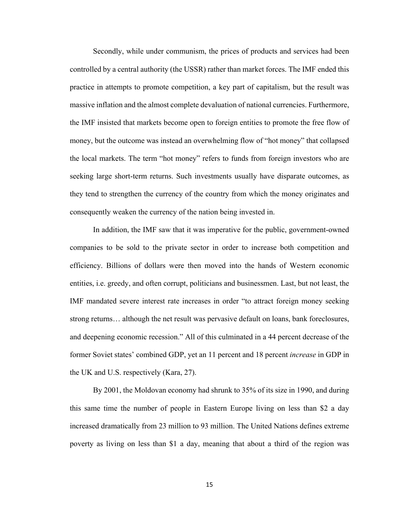Secondly, while under communism, the prices of products and services had been controlled by a central authority (the USSR) rather than market forces. The IMF ended this practice in attempts to promote competition, a key part of capitalism, but the result was massive inflation and the almost complete devaluation of national currencies. Furthermore, the IMF insisted that markets become open to foreign entities to promote the free flow of money, but the outcome was instead an overwhelming flow of "hot money" that collapsed the local markets. The term "hot money" refers to funds from foreign investors who are seeking large short-term returns. Such investments usually have disparate outcomes, as they tend to strengthen the currency of the country from which the money originates and consequently weaken the currency of the nation being invested in.

In addition, the IMF saw that it was imperative for the public, government-owned companies to be sold to the private sector in order to increase both competition and efficiency. Billions of dollars were then moved into the hands of Western economic entities, i.e. greedy, and often corrupt, politicians and businessmen. Last, but not least, the IMF mandated severe interest rate increases in order "to attract foreign money seeking strong returns… although the net result was pervasive default on loans, bank foreclosures, and deepening economic recession." All of this culminated in a 44 percent decrease of the former Soviet states' combined GDP, yet an 11 percent and 18 percent *increase* in GDP in the UK and U.S. respectively (Kara, 27).

By 2001, the Moldovan economy had shrunk to 35% of its size in 1990, and during this same time the number of people in Eastern Europe living on less than \$2 a day increased dramatically from 23 million to 93 million. The United Nations defines extreme poverty as living on less than \$1 a day, meaning that about a third of the region was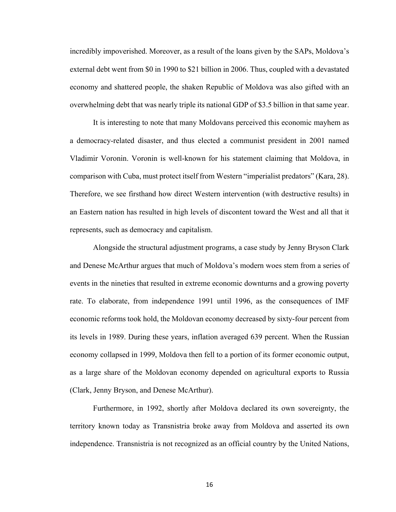incredibly impoverished. Moreover, as a result of the loans given by the SAPs, Moldova's external debt went from \$0 in 1990 to \$21 billion in 2006. Thus, coupled with a devastated economy and shattered people, the shaken Republic of Moldova was also gifted with an overwhelming debt that was nearly triple its national GDP of \$3.5 billion in that same year.

It is interesting to note that many Moldovans perceived this economic mayhem as a democracy-related disaster, and thus elected a communist president in 2001 named Vladimir Voronin. Voronin is well-known for his statement claiming that Moldova, in comparison with Cuba, must protect itself from Western "imperialist predators" (Kara, 28). Therefore, we see firsthand how direct Western intervention (with destructive results) in an Eastern nation has resulted in high levels of discontent toward the West and all that it represents, such as democracy and capitalism.

Alongside the structural adjustment programs, a case study by Jenny Bryson Clark and Denese McArthur argues that much of Moldova's modern woes stem from a series of events in the nineties that resulted in extreme economic downturns and a growing poverty rate. To elaborate, from independence 1991 until 1996, as the consequences of IMF economic reforms took hold, the Moldovan economy decreased by sixty-four percent from its levels in 1989. During these years, inflation averaged 639 percent. When the Russian economy collapsed in 1999, Moldova then fell to a portion of its former economic output, as a large share of the Moldovan economy depended on agricultural exports to Russia (Clark, Jenny Bryson, and Denese McArthur).

Furthermore, in 1992, shortly after Moldova declared its own sovereignty, the territory known today as Transnistria broke away from Moldova and asserted its own independence. Transnistria is not recognized as an official country by the United Nations,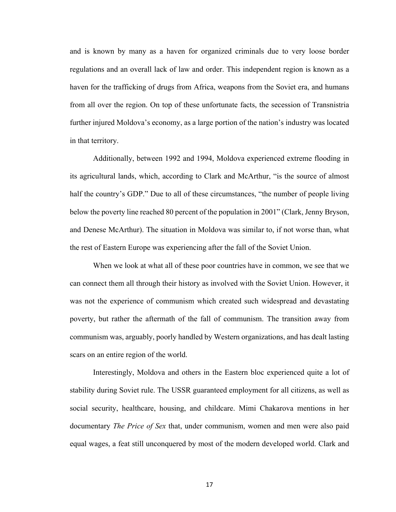and is known by many as a haven for organized criminals due to very loose border regulations and an overall lack of law and order. This independent region is known as a haven for the trafficking of drugs from Africa, weapons from the Soviet era, and humans from all over the region. On top of these unfortunate facts, the secession of Transnistria further injured Moldova's economy, as a large portion of the nation's industry was located in that territory.

Additionally, between 1992 and 1994, Moldova experienced extreme flooding in its agricultural lands, which, according to Clark and McArthur, "is the source of almost half the country's GDP." Due to all of these circumstances, "the number of people living below the poverty line reached 80 percent of the population in 2001" (Clark, Jenny Bryson, and Denese McArthur). The situation in Moldova was similar to, if not worse than, what the rest of Eastern Europe was experiencing after the fall of the Soviet Union.

When we look at what all of these poor countries have in common, we see that we can connect them all through their history as involved with the Soviet Union. However, it was not the experience of communism which created such widespread and devastating poverty, but rather the aftermath of the fall of communism. The transition away from communism was, arguably, poorly handled by Western organizations, and has dealt lasting scars on an entire region of the world.

Interestingly, Moldova and others in the Eastern bloc experienced quite a lot of stability during Soviet rule. The USSR guaranteed employment for all citizens, as well as social security, healthcare, housing, and childcare. Mimi Chakarova mentions in her documentary *The Price of Sex* that, under communism, women and men were also paid equal wages, a feat still unconquered by most of the modern developed world. Clark and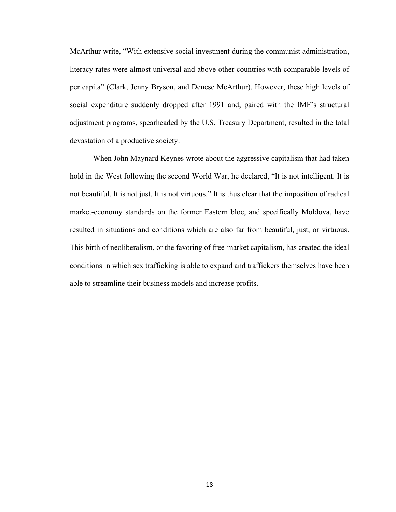McArthur write, "With extensive social investment during the communist administration, literacy rates were almost universal and above other countries with comparable levels of per capita" (Clark, Jenny Bryson, and Denese McArthur). However, these high levels of social expenditure suddenly dropped after 1991 and, paired with the IMF's structural adjustment programs, spearheaded by the U.S. Treasury Department, resulted in the total devastation of a productive society.

When John Maynard Keynes wrote about the aggressive capitalism that had taken hold in the West following the second World War, he declared, "It is not intelligent. It is not beautiful. It is not just. It is not virtuous." It is thus clear that the imposition of radical market-economy standards on the former Eastern bloc, and specifically Moldova, have resulted in situations and conditions which are also far from beautiful, just, or virtuous. This birth of neoliberalism, or the favoring of free-market capitalism, has created the ideal conditions in which sex trafficking is able to expand and traffickers themselves have been able to streamline their business models and increase profits.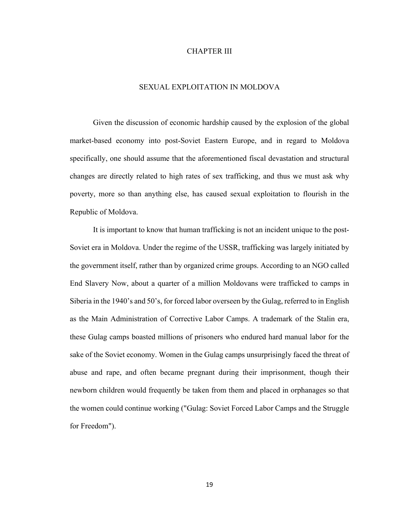#### CHAPTER III

#### SEXUAL EXPLOITATION IN MOLDOVA

Given the discussion of economic hardship caused by the explosion of the global market-based economy into post-Soviet Eastern Europe, and in regard to Moldova specifically, one should assume that the aforementioned fiscal devastation and structural changes are directly related to high rates of sex trafficking, and thus we must ask why poverty, more so than anything else, has caused sexual exploitation to flourish in the Republic of Moldova.

It is important to know that human trafficking is not an incident unique to the post-Soviet era in Moldova. Under the regime of the USSR, trafficking was largely initiated by the government itself, rather than by organized crime groups. According to an NGO called End Slavery Now, about a quarter of a million Moldovans were trafficked to camps in Siberia in the 1940's and 50's, for forced labor overseen by the Gulag, referred to in English as the Main Administration of Corrective Labor Camps. A trademark of the Stalin era, these Gulag camps boasted millions of prisoners who endured hard manual labor for the sake of the Soviet economy. Women in the Gulag camps unsurprisingly faced the threat of abuse and rape, and often became pregnant during their imprisonment, though their newborn children would frequently be taken from them and placed in orphanages so that the women could continue working ("Gulag: Soviet Forced Labor Camps and the Struggle for Freedom").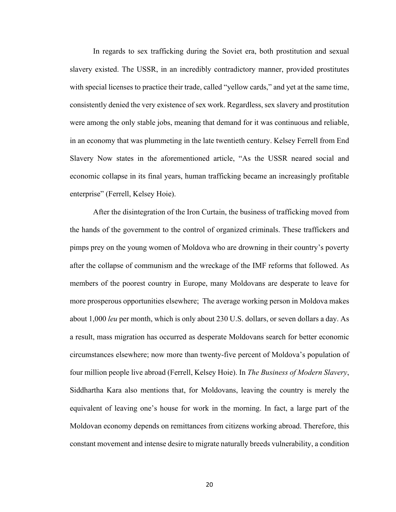In regards to sex trafficking during the Soviet era, both prostitution and sexual slavery existed. The USSR, in an incredibly contradictory manner, provided prostitutes with special licenses to practice their trade, called "yellow cards," and yet at the same time, consistently denied the very existence of sex work. Regardless, sex slavery and prostitution were among the only stable jobs, meaning that demand for it was continuous and reliable, in an economy that was plummeting in the late twentieth century. Kelsey Ferrell from End Slavery Now states in the aforementioned article, "As the USSR neared social and economic collapse in its final years, human trafficking became an increasingly profitable enterprise" (Ferrell, Kelsey Hoie).

After the disintegration of the Iron Curtain, the business of trafficking moved from the hands of the government to the control of organized criminals. These traffickers and pimps prey on the young women of Moldova who are drowning in their country's poverty after the collapse of communism and the wreckage of the IMF reforms that followed. As members of the poorest country in Europe, many Moldovans are desperate to leave for more prosperous opportunities elsewhere; The average working person in Moldova makes about 1,000 *leu* per month, which is only about 230 U.S. dollars, or seven dollars a day. As a result, mass migration has occurred as desperate Moldovans search for better economic circumstances elsewhere; now more than twenty-five percent of Moldova's population of four million people live abroad (Ferrell, Kelsey Hoie). In *The Business of Modern Slavery*, Siddhartha Kara also mentions that, for Moldovans, leaving the country is merely the equivalent of leaving one's house for work in the morning. In fact, a large part of the Moldovan economy depends on remittances from citizens working abroad. Therefore, this constant movement and intense desire to migrate naturally breeds vulnerability, a condition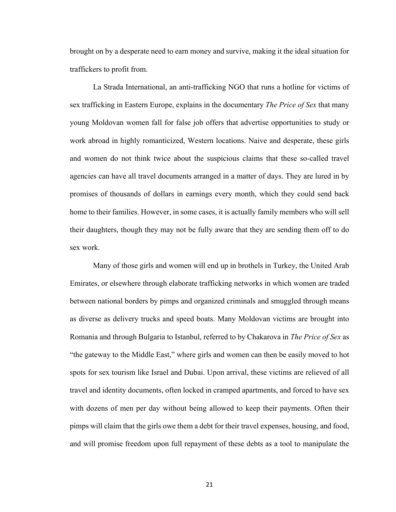brought on by a desperate need to earn money and survive, making it the ideal situation for traffickers to profit from.

La Strada International, an anti-trafficking NGO that runs a hotline for victims of sex trafficking in Eastern Europe, explains in the documentary *The Price of Sex* that many young Moldovan women fall for false job offers that advertise opportunities to study or work abroad in highly romanticized, Western locations. Naive and desperate, these girls and women do not think twice about the suspicious claims that these so-called travel agencies can have all travel documents arranged in a matter of days. They are lured in by promises of thousands of dollars in earnings every month, which they could send back home to their families. However, in some cases, it is actually family members who will sell their daughters, though they may not be fully aware that they are sending them off to do sex work.

Many of those girls and women will end up in brothels in Turkey, the United Arab Emirates, or elsewhere through elaborate trafficking networks in which women are traded between national borders by pimps and organized criminals and smuggled through means as diverse as delivery trucks and speed boats. Many Moldovan victims are brought into Romania and through Bulgaria to Istanbul, referred to by Chakarova in *The Price of Sex* as "the gateway to the Middle East," where girls and women can then be easily moved to hot spots for sex tourism like Israel and Dubai. Upon arrival, these victims are relieved of all travel and identity documents, often locked in cramped apartments, and forced to have sex with dozens of men per day without being allowed to keep their payments. Often their pimps will claim that the girls owe them a debt for their travel expenses, housing, and food, and will promise freedom upon full repayment of these debts as a tool to manipulate the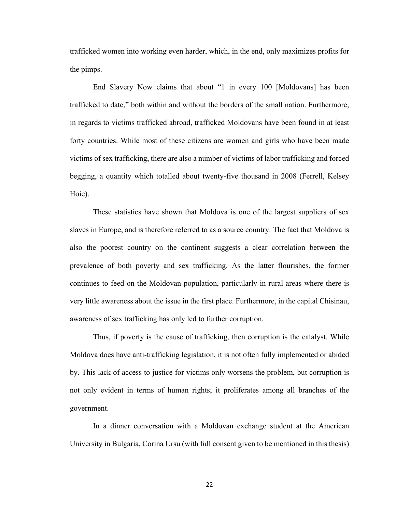trafficked women into working even harder, which, in the end, only maximizes profits for the pimps.

End Slavery Now claims that about "1 in every 100 [Moldovans] has been trafficked to date," both within and without the borders of the small nation. Furthermore, in regards to victims trafficked abroad, trafficked Moldovans have been found in at least forty countries. While most of these citizens are women and girls who have been made victims of sex trafficking, there are also a number of victims of labor trafficking and forced begging, a quantity which totalled about twenty-five thousand in 2008 (Ferrell, Kelsey Hoie).

These statistics have shown that Moldova is one of the largest suppliers of sex slaves in Europe, and is therefore referred to as a source country. The fact that Moldova is also the poorest country on the continent suggests a clear correlation between the prevalence of both poverty and sex trafficking. As the latter flourishes, the former continues to feed on the Moldovan population, particularly in rural areas where there is very little awareness about the issue in the first place. Furthermore, in the capital Chisinau, awareness of sex trafficking has only led to further corruption.

Thus, if poverty is the cause of trafficking, then corruption is the catalyst. While Moldova does have anti-trafficking legislation, it is not often fully implemented or abided by. This lack of access to justice for victims only worsens the problem, but corruption is not only evident in terms of human rights; it proliferates among all branches of the government.

In a dinner conversation with a Moldovan exchange student at the American University in Bulgaria, Corina Ursu (with full consent given to be mentioned in this thesis)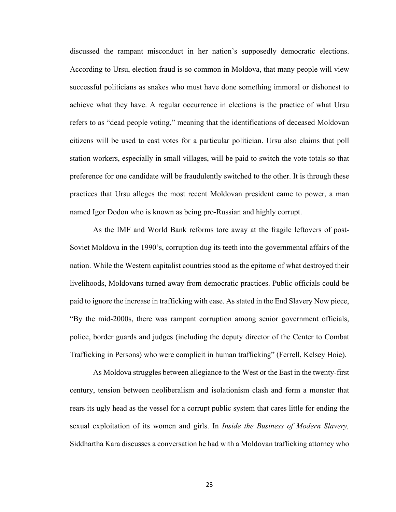discussed the rampant misconduct in her nation's supposedly democratic elections. According to Ursu, election fraud is so common in Moldova, that many people will view successful politicians as snakes who must have done something immoral or dishonest to achieve what they have. A regular occurrence in elections is the practice of what Ursu refers to as "dead people voting," meaning that the identifications of deceased Moldovan citizens will be used to cast votes for a particular politician. Ursu also claims that poll station workers, especially in small villages, will be paid to switch the vote totals so that preference for one candidate will be fraudulently switched to the other. It is through these practices that Ursu alleges the most recent Moldovan president came to power, a man named Igor Dodon who is known as being pro-Russian and highly corrupt.

As the IMF and World Bank reforms tore away at the fragile leftovers of post-Soviet Moldova in the 1990's, corruption dug its teeth into the governmental affairs of the nation. While the Western capitalist countries stood as the epitome of what destroyed their livelihoods, Moldovans turned away from democratic practices. Public officials could be paid to ignore the increase in trafficking with ease. As stated in the End Slavery Now piece, "By the mid-2000s, there was rampant corruption among senior government officials, police, border guards and judges (including the deputy director of the Center to Combat Trafficking in Persons) who were complicit in human trafficking" (Ferrell, Kelsey Hoie).

As Moldova struggles between allegiance to the West or the East in the twenty-first century, tension between neoliberalism and isolationism clash and form a monster that rears its ugly head as the vessel for a corrupt public system that cares little for ending the sexual exploitation of its women and girls. In *Inside the Business of Modern Slavery,*  Siddhartha Kara discusses a conversation he had with a Moldovan trafficking attorney who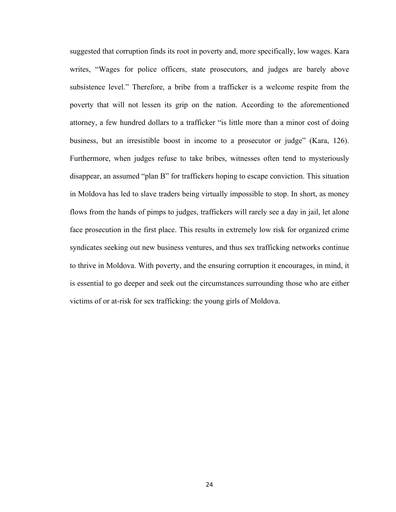suggested that corruption finds its root in poverty and, more specifically, low wages. Kara writes, "Wages for police officers, state prosecutors, and judges are barely above subsistence level." Therefore, a bribe from a trafficker is a welcome respite from the poverty that will not lessen its grip on the nation. According to the aforementioned attorney, a few hundred dollars to a trafficker "is little more than a minor cost of doing business, but an irresistible boost in income to a prosecutor or judge" (Kara, 126). Furthermore, when judges refuse to take bribes, witnesses often tend to mysteriously disappear, an assumed "plan B" for traffickers hoping to escape conviction. This situation in Moldova has led to slave traders being virtually impossible to stop. In short, as money flows from the hands of pimps to judges, traffickers will rarely see a day in jail, let alone face prosecution in the first place. This results in extremely low risk for organized crime syndicates seeking out new business ventures, and thus sex trafficking networks continue to thrive in Moldova. With poverty, and the ensuring corruption it encourages, in mind, it is essential to go deeper and seek out the circumstances surrounding those who are either victims of or at-risk for sex trafficking: the young girls of Moldova.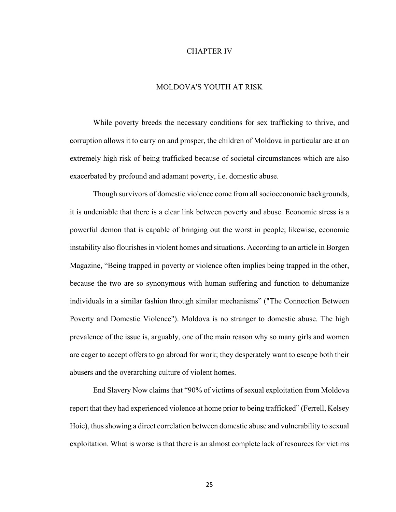#### CHAPTER IV

#### MOLDOVA'S YOUTH AT RISK

While poverty breeds the necessary conditions for sex trafficking to thrive, and corruption allows it to carry on and prosper, the children of Moldova in particular are at an extremely high risk of being trafficked because of societal circumstances which are also exacerbated by profound and adamant poverty, i.e. domestic abuse.

Though survivors of domestic violence come from all socioeconomic backgrounds, it is undeniable that there is a clear link between poverty and abuse. Economic stress is a powerful demon that is capable of bringing out the worst in people; likewise, economic instability also flourishes in violent homes and situations. According to an article in Borgen Magazine, "Being trapped in poverty or violence often implies being trapped in the other, because the two are so synonymous with human suffering and function to dehumanize individuals in a similar fashion through similar mechanisms" ("The Connection Between Poverty and Domestic Violence"). Moldova is no stranger to domestic abuse. The high prevalence of the issue is, arguably, one of the main reason why so many girls and women are eager to accept offers to go abroad for work; they desperately want to escape both their abusers and the overarching culture of violent homes.

End Slavery Now claims that "90% of victims of sexual exploitation from Moldova report that they had experienced violence at home prior to being trafficked" (Ferrell, Kelsey Hoie), thus showing a direct correlation between domestic abuse and vulnerability to sexual exploitation. What is worse is that there is an almost complete lack of resources for victims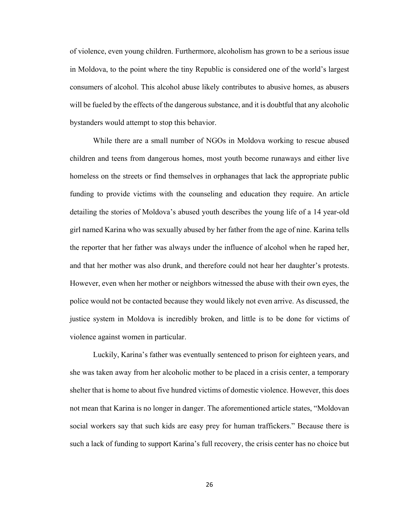of violence, even young children. Furthermore, alcoholism has grown to be a serious issue in Moldova, to the point where the tiny Republic is considered one of the world's largest consumers of alcohol. This alcohol abuse likely contributes to abusive homes, as abusers will be fueled by the effects of the dangerous substance, and it is doubtful that any alcoholic bystanders would attempt to stop this behavior.

While there are a small number of NGOs in Moldova working to rescue abused children and teens from dangerous homes, most youth become runaways and either live homeless on the streets or find themselves in orphanages that lack the appropriate public funding to provide victims with the counseling and education they require. An article detailing the stories of Moldova's abused youth describes the young life of a 14 year-old girl named Karina who was sexually abused by her father from the age of nine. Karina tells the reporter that her father was always under the influence of alcohol when he raped her, and that her mother was also drunk, and therefore could not hear her daughter's protests. However, even when her mother or neighbors witnessed the abuse with their own eyes, the police would not be contacted because they would likely not even arrive. As discussed, the justice system in Moldova is incredibly broken, and little is to be done for victims of violence against women in particular.

Luckily, Karina's father was eventually sentenced to prison for eighteen years, and she was taken away from her alcoholic mother to be placed in a crisis center, a temporary shelter that is home to about five hundred victims of domestic violence. However, this does not mean that Karina is no longer in danger. The aforementioned article states, "Moldovan social workers say that such kids are easy prey for human traffickers." Because there is such a lack of funding to support Karina's full recovery, the crisis center has no choice but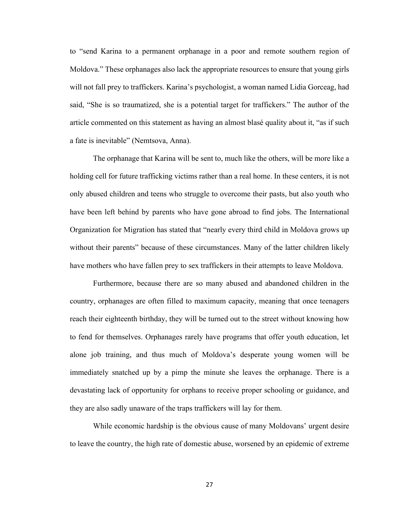to "send Karina to a permanent orphanage in a poor and remote southern region of Moldova." These orphanages also lack the appropriate resources to ensure that young girls will not fall prey to traffickers. Karina's psychologist, a woman named Lidia Gorceag, had said, "She is so traumatized, she is a potential target for traffickers." The author of the article commented on this statement as having an almost blasé quality about it, "as if such a fate is inevitable" (Nemtsova, Anna).

The orphanage that Karina will be sent to, much like the others, will be more like a holding cell for future trafficking victims rather than a real home. In these centers, it is not only abused children and teens who struggle to overcome their pasts, but also youth who have been left behind by parents who have gone abroad to find jobs. The International Organization for Migration has stated that "nearly every third child in Moldova grows up without their parents" because of these circumstances. Many of the latter children likely have mothers who have fallen prey to sex traffickers in their attempts to leave Moldova.

Furthermore, because there are so many abused and abandoned children in the country, orphanages are often filled to maximum capacity, meaning that once teenagers reach their eighteenth birthday, they will be turned out to the street without knowing how to fend for themselves. Orphanages rarely have programs that offer youth education, let alone job training, and thus much of Moldova's desperate young women will be immediately snatched up by a pimp the minute she leaves the orphanage. There is a devastating lack of opportunity for orphans to receive proper schooling or guidance, and they are also sadly unaware of the traps traffickers will lay for them.

While economic hardship is the obvious cause of many Moldovans' urgent desire to leave the country, the high rate of domestic abuse, worsened by an epidemic of extreme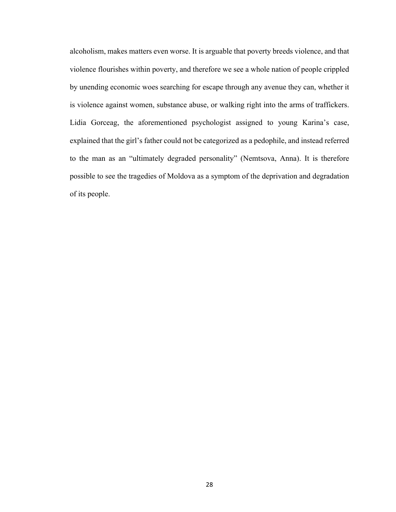alcoholism, makes matters even worse. It is arguable that poverty breeds violence, and that violence flourishes within poverty, and therefore we see a whole nation of people crippled by unending economic woes searching for escape through any avenue they can, whether it is violence against women, substance abuse, or walking right into the arms of traffickers. Lidia Gorceag, the aforementioned psychologist assigned to young Karina's case, explained that the girl's father could not be categorized as a pedophile, and instead referred to the man as an "ultimately degraded personality" (Nemtsova, Anna). It is therefore possible to see the tragedies of Moldova as a symptom of the deprivation and degradation of its people.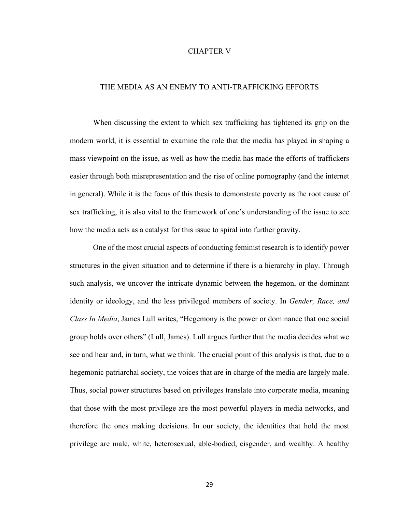#### CHAPTER V

#### THE MEDIA AS AN ENEMY TO ANTI-TRAFFICKING EFFORTS

When discussing the extent to which sex trafficking has tightened its grip on the modern world, it is essential to examine the role that the media has played in shaping a mass viewpoint on the issue, as well as how the media has made the efforts of traffickers easier through both misrepresentation and the rise of online pornography (and the internet in general). While it is the focus of this thesis to demonstrate poverty as the root cause of sex trafficking, it is also vital to the framework of one's understanding of the issue to see how the media acts as a catalyst for this issue to spiral into further gravity.

One of the most crucial aspects of conducting feminist research is to identify power structures in the given situation and to determine if there is a hierarchy in play. Through such analysis, we uncover the intricate dynamic between the hegemon, or the dominant identity or ideology, and the less privileged members of society. In *Gender, Race, and Class In Media*, James Lull writes, "Hegemony is the power or dominance that one social group holds over others" (Lull, James). Lull argues further that the media decides what we see and hear and, in turn, what we think. The crucial point of this analysis is that, due to a hegemonic patriarchal society, the voices that are in charge of the media are largely male. Thus, social power structures based on privileges translate into corporate media, meaning that those with the most privilege are the most powerful players in media networks, and therefore the ones making decisions. In our society, the identities that hold the most privilege are male, white, heterosexual, able-bodied, cisgender, and wealthy. A healthy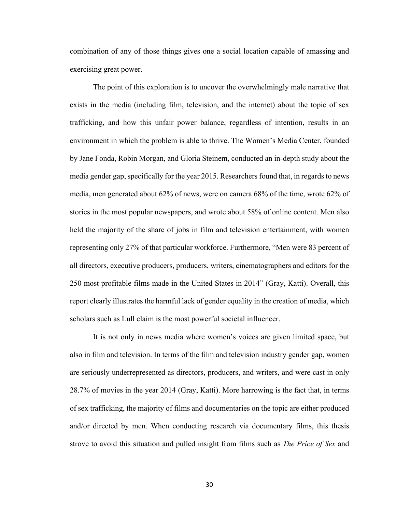combination of any of those things gives one a social location capable of amassing and exercising great power.

The point of this exploration is to uncover the overwhelmingly male narrative that exists in the media (including film, television, and the internet) about the topic of sex trafficking, and how this unfair power balance, regardless of intention, results in an environment in which the problem is able to thrive. The Women's Media Center, founded by Jane Fonda, Robin Morgan, and Gloria Steinem, conducted an in-depth study about the media gender gap, specifically for the year 2015. Researchers found that, in regards to news media, men generated about 62% of news, were on camera 68% of the time, wrote 62% of stories in the most popular newspapers, and wrote about 58% of online content. Men also held the majority of the share of jobs in film and television entertainment, with women representing only 27% of that particular workforce. Furthermore, "Men were 83 percent of all directors, executive producers, producers, writers, cinematographers and editors for the 250 most profitable films made in the United States in 2014" (Gray, Katti). Overall, this report clearly illustrates the harmful lack of gender equality in the creation of media, which scholars such as Lull claim is the most powerful societal influencer.

It is not only in news media where women's voices are given limited space, but also in film and television. In terms of the film and television industry gender gap, women are seriously underrepresented as directors, producers, and writers, and were cast in only 28.7% of movies in the year 2014 (Gray, Katti). More harrowing is the fact that, in terms of sex trafficking, the majority of films and documentaries on the topic are either produced and/or directed by men. When conducting research via documentary films, this thesis strove to avoid this situation and pulled insight from films such as *The Price of Sex* and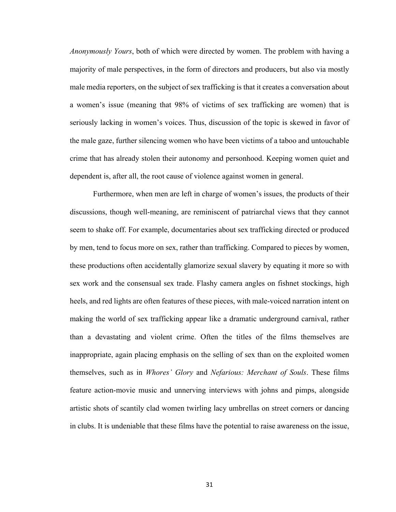*Anonymously Yours*, both of which were directed by women. The problem with having a majority of male perspectives, in the form of directors and producers, but also via mostly male media reporters, on the subject of sex trafficking is that it creates a conversation about a women's issue (meaning that 98% of victims of sex trafficking are women) that is seriously lacking in women's voices. Thus, discussion of the topic is skewed in favor of the male gaze, further silencing women who have been victims of a taboo and untouchable crime that has already stolen their autonomy and personhood. Keeping women quiet and dependent is, after all, the root cause of violence against women in general.

Furthermore, when men are left in charge of women's issues, the products of their discussions, though well-meaning, are reminiscent of patriarchal views that they cannot seem to shake off. For example, documentaries about sex trafficking directed or produced by men, tend to focus more on sex, rather than trafficking. Compared to pieces by women, these productions often accidentally glamorize sexual slavery by equating it more so with sex work and the consensual sex trade. Flashy camera angles on fishnet stockings, high heels, and red lights are often features of these pieces, with male-voiced narration intent on making the world of sex trafficking appear like a dramatic underground carnival, rather than a devastating and violent crime. Often the titles of the films themselves are inappropriate, again placing emphasis on the selling of sex than on the exploited women themselves, such as in *Whores' Glory* and *Nefarious: Merchant of Souls*. These films feature action-movie music and unnerving interviews with johns and pimps, alongside artistic shots of scantily clad women twirling lacy umbrellas on street corners or dancing in clubs. It is undeniable that these films have the potential to raise awareness on the issue,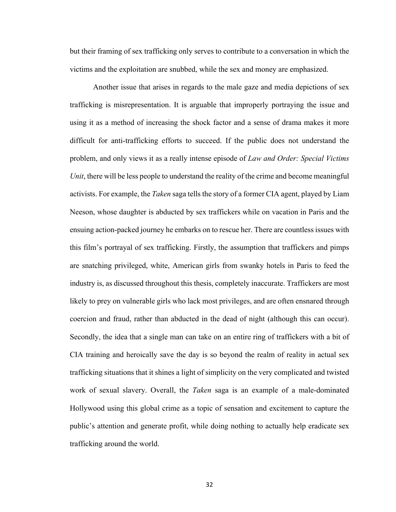but their framing of sex trafficking only serves to contribute to a conversation in which the victims and the exploitation are snubbed, while the sex and money are emphasized.

Another issue that arises in regards to the male gaze and media depictions of sex trafficking is misrepresentation. It is arguable that improperly portraying the issue and using it as a method of increasing the shock factor and a sense of drama makes it more difficult for anti-trafficking efforts to succeed. If the public does not understand the problem, and only views it as a really intense episode of *Law and Order: Special Victims Unit*, there will be less people to understand the reality of the crime and become meaningful activists. For example, the *Taken* saga tells the story of a former CIA agent, played by Liam Neeson, whose daughter is abducted by sex traffickers while on vacation in Paris and the ensuing action-packed journey he embarks on to rescue her. There are countless issues with this film's portrayal of sex trafficking. Firstly, the assumption that traffickers and pimps are snatching privileged, white, American girls from swanky hotels in Paris to feed the industry is, as discussed throughout this thesis, completely inaccurate. Traffickers are most likely to prey on vulnerable girls who lack most privileges, and are often ensnared through coercion and fraud, rather than abducted in the dead of night (although this can occur). Secondly, the idea that a single man can take on an entire ring of traffickers with a bit of CIA training and heroically save the day is so beyond the realm of reality in actual sex trafficking situations that it shines a light of simplicity on the very complicated and twisted work of sexual slavery. Overall, the *Taken* saga is an example of a male-dominated Hollywood using this global crime as a topic of sensation and excitement to capture the public's attention and generate profit, while doing nothing to actually help eradicate sex trafficking around the world.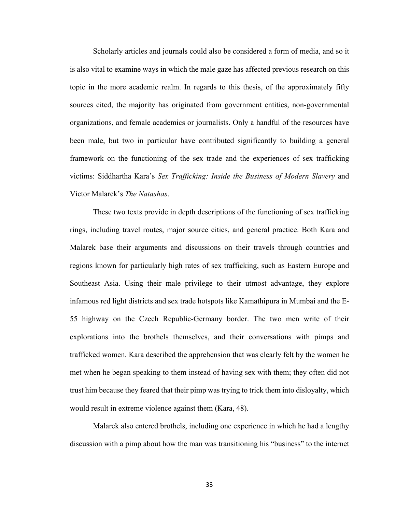Scholarly articles and journals could also be considered a form of media, and so it is also vital to examine ways in which the male gaze has affected previous research on this topic in the more academic realm. In regards to this thesis, of the approximately fifty sources cited, the majority has originated from government entities, non-governmental organizations, and female academics or journalists. Only a handful of the resources have been male, but two in particular have contributed significantly to building a general framework on the functioning of the sex trade and the experiences of sex trafficking victims: Siddhartha Kara's *Sex Trafficking: Inside the Business of Modern Slavery* and Victor Malarek's *The Natashas*.

These two texts provide in depth descriptions of the functioning of sex trafficking rings, including travel routes, major source cities, and general practice. Both Kara and Malarek base their arguments and discussions on their travels through countries and regions known for particularly high rates of sex trafficking, such as Eastern Europe and Southeast Asia. Using their male privilege to their utmost advantage, they explore infamous red light districts and sex trade hotspots like Kamathipura in Mumbai and the E-55 highway on the Czech Republic-Germany border. The two men write of their explorations into the brothels themselves, and their conversations with pimps and trafficked women. Kara described the apprehension that was clearly felt by the women he met when he began speaking to them instead of having sex with them; they often did not trust him because they feared that their pimp was trying to trick them into disloyalty, which would result in extreme violence against them (Kara, 48).

Malarek also entered brothels, including one experience in which he had a lengthy discussion with a pimp about how the man was transitioning his "business" to the internet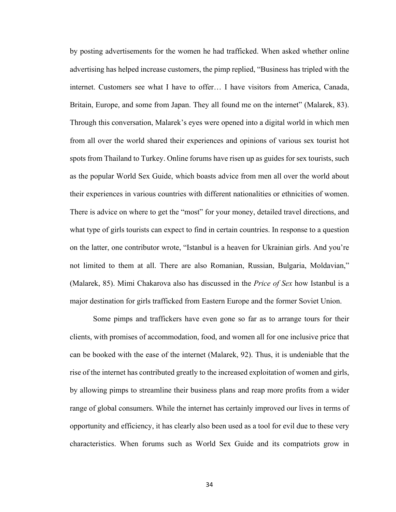by posting advertisements for the women he had trafficked. When asked whether online advertising has helped increase customers, the pimp replied, "Business has tripled with the internet. Customers see what I have to offer… I have visitors from America, Canada, Britain, Europe, and some from Japan. They all found me on the internet" (Malarek, 83). Through this conversation, Malarek's eyes were opened into a digital world in which men from all over the world shared their experiences and opinions of various sex tourist hot spots from Thailand to Turkey. Online forums have risen up as guides for sex tourists, such as the popular World Sex Guide, which boasts advice from men all over the world about their experiences in various countries with different nationalities or ethnicities of women. There is advice on where to get the "most" for your money, detailed travel directions, and what type of girls tourists can expect to find in certain countries. In response to a question on the latter, one contributor wrote, "Istanbul is a heaven for Ukrainian girls. And you're not limited to them at all. There are also Romanian, Russian, Bulgaria, Moldavian," (Malarek, 85). Mimi Chakarova also has discussed in the *Price of Sex* how Istanbul is a major destination for girls trafficked from Eastern Europe and the former Soviet Union.

Some pimps and traffickers have even gone so far as to arrange tours for their clients, with promises of accommodation, food, and women all for one inclusive price that can be booked with the ease of the internet (Malarek, 92). Thus, it is undeniable that the rise of the internet has contributed greatly to the increased exploitation of women and girls, by allowing pimps to streamline their business plans and reap more profits from a wider range of global consumers. While the internet has certainly improved our lives in terms of opportunity and efficiency, it has clearly also been used as a tool for evil due to these very characteristics. When forums such as World Sex Guide and its compatriots grow in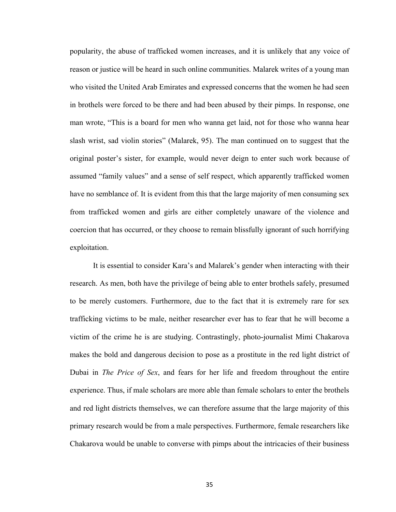popularity, the abuse of trafficked women increases, and it is unlikely that any voice of reason or justice will be heard in such online communities. Malarek writes of a young man who visited the United Arab Emirates and expressed concerns that the women he had seen in brothels were forced to be there and had been abused by their pimps. In response, one man wrote, "This is a board for men who wanna get laid, not for those who wanna hear slash wrist, sad violin stories" (Malarek, 95). The man continued on to suggest that the original poster's sister, for example, would never deign to enter such work because of assumed "family values" and a sense of self respect, which apparently trafficked women have no semblance of. It is evident from this that the large majority of men consuming sex from trafficked women and girls are either completely unaware of the violence and coercion that has occurred, or they choose to remain blissfully ignorant of such horrifying exploitation.

It is essential to consider Kara's and Malarek's gender when interacting with their research. As men, both have the privilege of being able to enter brothels safely, presumed to be merely customers. Furthermore, due to the fact that it is extremely rare for sex trafficking victims to be male, neither researcher ever has to fear that he will become a victim of the crime he is are studying. Contrastingly, photo-journalist Mimi Chakarova makes the bold and dangerous decision to pose as a prostitute in the red light district of Dubai in *The Price of Sex*, and fears for her life and freedom throughout the entire experience. Thus, if male scholars are more able than female scholars to enter the brothels and red light districts themselves, we can therefore assume that the large majority of this primary research would be from a male perspectives. Furthermore, female researchers like Chakarova would be unable to converse with pimps about the intricacies of their business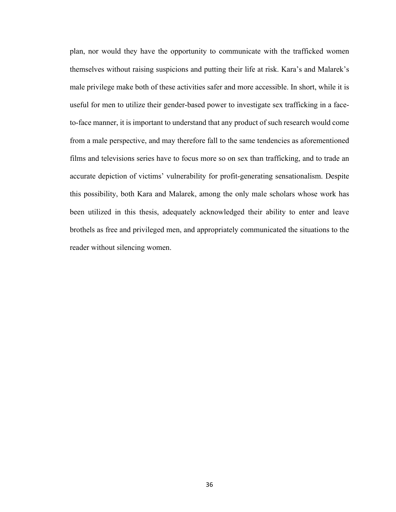plan, nor would they have the opportunity to communicate with the trafficked women themselves without raising suspicions and putting their life at risk. Kara's and Malarek's male privilege make both of these activities safer and more accessible. In short, while it is useful for men to utilize their gender-based power to investigate sex trafficking in a faceto-face manner, it is important to understand that any product of such research would come from a male perspective, and may therefore fall to the same tendencies as aforementioned films and televisions series have to focus more so on sex than trafficking, and to trade an accurate depiction of victims' vulnerability for profit-generating sensationalism. Despite this possibility, both Kara and Malarek, among the only male scholars whose work has been utilized in this thesis, adequately acknowledged their ability to enter and leave brothels as free and privileged men, and appropriately communicated the situations to the reader without silencing women.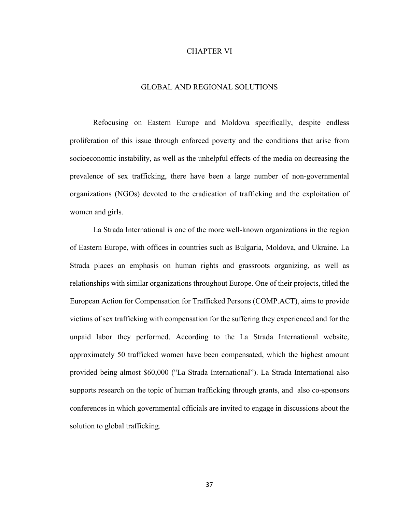#### CHAPTER VI

#### GLOBAL AND REGIONAL SOLUTIONS

Refocusing on Eastern Europe and Moldova specifically, despite endless proliferation of this issue through enforced poverty and the conditions that arise from socioeconomic instability, as well as the unhelpful effects of the media on decreasing the prevalence of sex trafficking, there have been a large number of non-governmental organizations (NGOs) devoted to the eradication of trafficking and the exploitation of women and girls.

La Strada International is one of the more well-known organizations in the region of Eastern Europe, with offices in countries such as Bulgaria, Moldova, and Ukraine. La Strada places an emphasis on human rights and grassroots organizing, as well as relationships with similar organizations throughout Europe. One of their projects, titled the European Action for Compensation for Trafficked Persons (COMP.ACT), aims to provide victims of sex trafficking with compensation for the suffering they experienced and for the unpaid labor they performed. According to the La Strada International website, approximately 50 trafficked women have been compensated, which the highest amount provided being almost \$60,000 ("La Strada International"). La Strada International also supports research on the topic of human trafficking through grants, and also co-sponsors conferences in which governmental officials are invited to engage in discussions about the solution to global trafficking.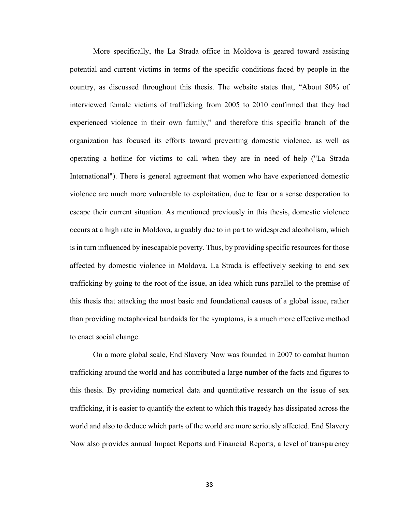More specifically, the La Strada office in Moldova is geared toward assisting potential and current victims in terms of the specific conditions faced by people in the country, as discussed throughout this thesis. The website states that, "About 80% of interviewed female victims of trafficking from 2005 to 2010 confirmed that they had experienced violence in their own family," and therefore this specific branch of the organization has focused its efforts toward preventing domestic violence, as well as operating a hotline for victims to call when they are in need of help ("La Strada International"). There is general agreement that women who have experienced domestic violence are much more vulnerable to exploitation, due to fear or a sense desperation to escape their current situation. As mentioned previously in this thesis, domestic violence occurs at a high rate in Moldova, arguably due to in part to widespread alcoholism, which is in turn influenced by inescapable poverty. Thus, by providing specific resources for those affected by domestic violence in Moldova, La Strada is effectively seeking to end sex trafficking by going to the root of the issue, an idea which runs parallel to the premise of this thesis that attacking the most basic and foundational causes of a global issue, rather than providing metaphorical bandaids for the symptoms, is a much more effective method to enact social change.

On a more global scale, End Slavery Now was founded in 2007 to combat human trafficking around the world and has contributed a large number of the facts and figures to this thesis. By providing numerical data and quantitative research on the issue of sex trafficking, it is easier to quantify the extent to which this tragedy has dissipated across the world and also to deduce which parts of the world are more seriously affected. End Slavery Now also provides annual Impact Reports and Financial Reports, a level of transparency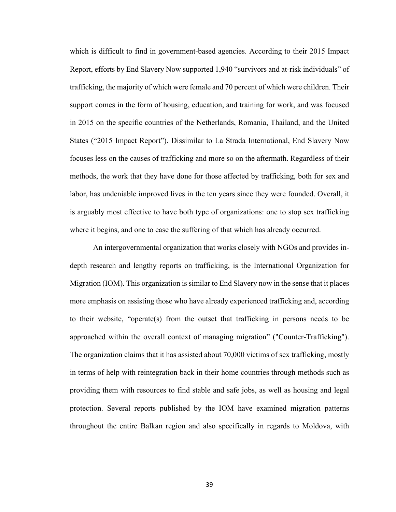which is difficult to find in government-based agencies. According to their 2015 Impact Report, efforts by End Slavery Now supported 1,940 "survivors and at-risk individuals" of trafficking, the majority of which were female and 70 percent of which were children. Their support comes in the form of housing, education, and training for work, and was focused in 2015 on the specific countries of the Netherlands, Romania, Thailand, and the United States ("2015 Impact Report"). Dissimilar to La Strada International, End Slavery Now focuses less on the causes of trafficking and more so on the aftermath. Regardless of their methods, the work that they have done for those affected by trafficking, both for sex and labor, has undeniable improved lives in the ten years since they were founded. Overall, it is arguably most effective to have both type of organizations: one to stop sex trafficking where it begins, and one to ease the suffering of that which has already occurred.

An intergovernmental organization that works closely with NGOs and provides indepth research and lengthy reports on trafficking, is the International Organization for Migration (IOM). This organization is similar to End Slavery now in the sense that it places more emphasis on assisting those who have already experienced trafficking and, according to their website, "operate(s) from the outset that trafficking in persons needs to be approached within the overall context of managing migration" ("Counter-Trafficking"). The organization claims that it has assisted about 70,000 victims of sex trafficking, mostly in terms of help with reintegration back in their home countries through methods such as providing them with resources to find stable and safe jobs, as well as housing and legal protection. Several reports published by the IOM have examined migration patterns throughout the entire Balkan region and also specifically in regards to Moldova, with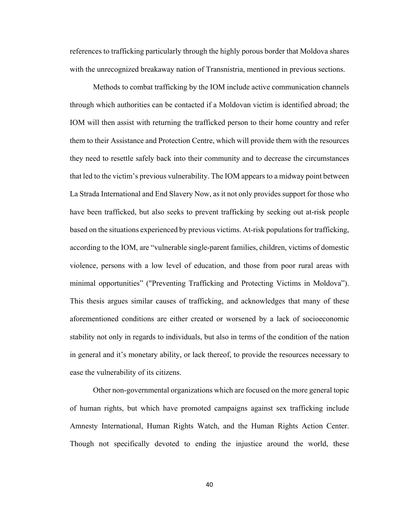references to trafficking particularly through the highly porous border that Moldova shares with the unrecognized breakaway nation of Transnistria, mentioned in previous sections.

Methods to combat trafficking by the IOM include active communication channels through which authorities can be contacted if a Moldovan victim is identified abroad; the IOM will then assist with returning the trafficked person to their home country and refer them to their Assistance and Protection Centre, which will provide them with the resources they need to resettle safely back into their community and to decrease the circumstances that led to the victim's previous vulnerability. The IOM appears to a midway point between La Strada International and End Slavery Now, as it not only provides support for those who have been trafficked, but also seeks to prevent trafficking by seeking out at-risk people based on the situations experienced by previous victims. At-risk populations for trafficking, according to the IOM, are "vulnerable single-parent families, children, victims of domestic violence, persons with a low level of education, and those from poor rural areas with minimal opportunities" ("Preventing Trafficking and Protecting Victims in Moldova"). This thesis argues similar causes of trafficking, and acknowledges that many of these aforementioned conditions are either created or worsened by a lack of socioeconomic stability not only in regards to individuals, but also in terms of the condition of the nation in general and it's monetary ability, or lack thereof, to provide the resources necessary to ease the vulnerability of its citizens.

Other non-governmental organizations which are focused on the more general topic of human rights, but which have promoted campaigns against sex trafficking include Amnesty International, Human Rights Watch, and the Human Rights Action Center. Though not specifically devoted to ending the injustice around the world, these

40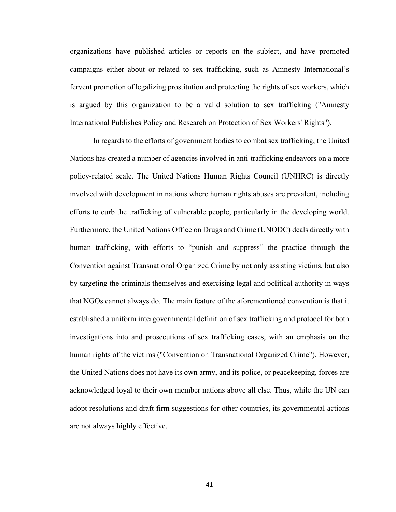organizations have published articles or reports on the subject, and have promoted campaigns either about or related to sex trafficking, such as Amnesty International's fervent promotion of legalizing prostitution and protecting the rights of sex workers, which is argued by this organization to be a valid solution to sex trafficking ("Amnesty International Publishes Policy and Research on Protection of Sex Workers' Rights").

In regards to the efforts of government bodies to combat sex trafficking, the United Nations has created a number of agencies involved in anti-trafficking endeavors on a more policy-related scale. The United Nations Human Rights Council (UNHRC) is directly involved with development in nations where human rights abuses are prevalent, including efforts to curb the trafficking of vulnerable people, particularly in the developing world. Furthermore, the United Nations Office on Drugs and Crime (UNODC) deals directly with human trafficking, with efforts to "punish and suppress" the practice through the Convention against Transnational Organized Crime by not only assisting victims, but also by targeting the criminals themselves and exercising legal and political authority in ways that NGOs cannot always do. The main feature of the aforementioned convention is that it established a uniform intergovernmental definition of sex trafficking and protocol for both investigations into and prosecutions of sex trafficking cases, with an emphasis on the human rights of the victims ("Convention on Transnational Organized Crime"). However, the United Nations does not have its own army, and its police, or peacekeeping, forces are acknowledged loyal to their own member nations above all else. Thus, while the UN can adopt resolutions and draft firm suggestions for other countries, its governmental actions are not always highly effective.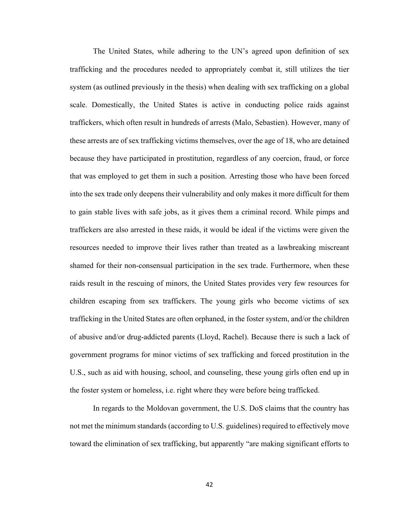The United States, while adhering to the UN's agreed upon definition of sex trafficking and the procedures needed to appropriately combat it, still utilizes the tier system (as outlined previously in the thesis) when dealing with sex trafficking on a global scale. Domestically, the United States is active in conducting police raids against traffickers, which often result in hundreds of arrests (Malo, Sebastien). However, many of these arrests are of sex trafficking victims themselves, over the age of 18, who are detained because they have participated in prostitution, regardless of any coercion, fraud, or force that was employed to get them in such a position. Arresting those who have been forced into the sex trade only deepens their vulnerability and only makes it more difficult for them to gain stable lives with safe jobs, as it gives them a criminal record. While pimps and traffickers are also arrested in these raids, it would be ideal if the victims were given the resources needed to improve their lives rather than treated as a lawbreaking miscreant shamed for their non-consensual participation in the sex trade. Furthermore, when these raids result in the rescuing of minors, the United States provides very few resources for children escaping from sex traffickers. The young girls who become victims of sex trafficking in the United States are often orphaned, in the foster system, and/or the children of abusive and/or drug-addicted parents (Lloyd, Rachel). Because there is such a lack of government programs for minor victims of sex trafficking and forced prostitution in the U.S., such as aid with housing, school, and counseling, these young girls often end up in the foster system or homeless, i.e. right where they were before being trafficked.

In regards to the Moldovan government, the U.S. DoS claims that the country has not met the minimum standards (according to U.S. guidelines) required to effectively move toward the elimination of sex trafficking, but apparently "are making significant efforts to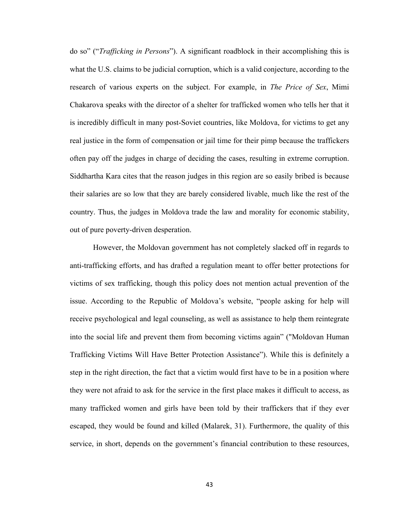do so" ("*Trafficking in Persons*"). A significant roadblock in their accomplishing this is what the U.S. claims to be judicial corruption, which is a valid conjecture, according to the research of various experts on the subject. For example, in *The Price of Sex*, Mimi Chakarova speaks with the director of a shelter for trafficked women who tells her that it is incredibly difficult in many post-Soviet countries, like Moldova, for victims to get any real justice in the form of compensation or jail time for their pimp because the traffickers often pay off the judges in charge of deciding the cases, resulting in extreme corruption. Siddhartha Kara cites that the reason judges in this region are so easily bribed is because their salaries are so low that they are barely considered livable, much like the rest of the country. Thus, the judges in Moldova trade the law and morality for economic stability, out of pure poverty-driven desperation.

However, the Moldovan government has not completely slacked off in regards to anti-trafficking efforts, and has drafted a regulation meant to offer better protections for victims of sex trafficking, though this policy does not mention actual prevention of the issue. According to the Republic of Moldova's website, "people asking for help will receive psychological and legal counseling, as well as assistance to help them reintegrate into the social life and prevent them from becoming victims again" ("Moldovan Human Trafficking Victims Will Have Better Protection Assistance"). While this is definitely a step in the right direction, the fact that a victim would first have to be in a position where they were not afraid to ask for the service in the first place makes it difficult to access, as many trafficked women and girls have been told by their traffickers that if they ever escaped, they would be found and killed (Malarek, 31). Furthermore, the quality of this service, in short, depends on the government's financial contribution to these resources,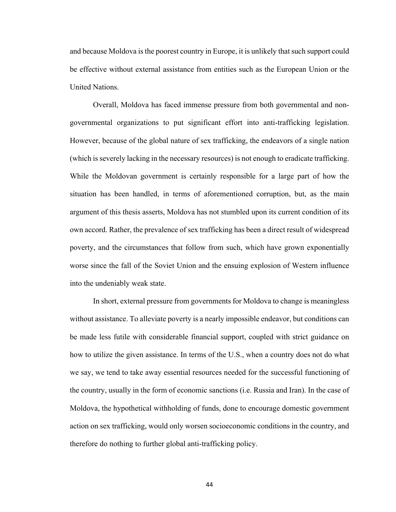and because Moldova is the poorest country in Europe, it is unlikely that such support could be effective without external assistance from entities such as the European Union or the United Nations.

Overall, Moldova has faced immense pressure from both governmental and nongovernmental organizations to put significant effort into anti-trafficking legislation. However, because of the global nature of sex trafficking, the endeavors of a single nation (which is severely lacking in the necessary resources) is not enough to eradicate trafficking. While the Moldovan government is certainly responsible for a large part of how the situation has been handled, in terms of aforementioned corruption, but, as the main argument of this thesis asserts, Moldova has not stumbled upon its current condition of its own accord. Rather, the prevalence of sex trafficking has been a direct result of widespread poverty, and the circumstances that follow from such, which have grown exponentially worse since the fall of the Soviet Union and the ensuing explosion of Western influence into the undeniably weak state.

In short, external pressure from governments for Moldova to change is meaningless without assistance. To alleviate poverty is a nearly impossible endeavor, but conditions can be made less futile with considerable financial support, coupled with strict guidance on how to utilize the given assistance. In terms of the U.S., when a country does not do what we say, we tend to take away essential resources needed for the successful functioning of the country, usually in the form of economic sanctions (i.e. Russia and Iran). In the case of Moldova, the hypothetical withholding of funds, done to encourage domestic government action on sex trafficking, would only worsen socioeconomic conditions in the country, and therefore do nothing to further global anti-trafficking policy.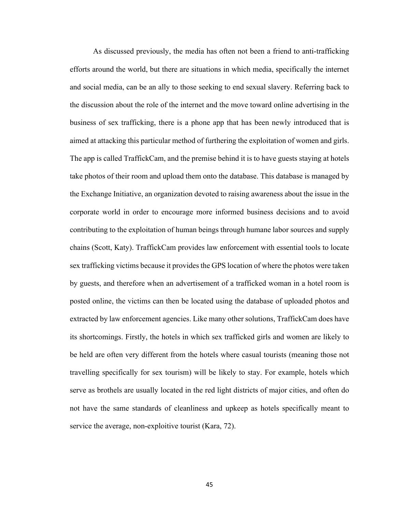As discussed previously, the media has often not been a friend to anti-trafficking efforts around the world, but there are situations in which media, specifically the internet and social media, can be an ally to those seeking to end sexual slavery. Referring back to the discussion about the role of the internet and the move toward online advertising in the business of sex trafficking, there is a phone app that has been newly introduced that is aimed at attacking this particular method of furthering the exploitation of women and girls. The app is called TraffickCam, and the premise behind it is to have guests staying at hotels take photos of their room and upload them onto the database. This database is managed by the Exchange Initiative, an organization devoted to raising awareness about the issue in the corporate world in order to encourage more informed business decisions and to avoid contributing to the exploitation of human beings through humane labor sources and supply chains (Scott, Katy). TraffickCam provides law enforcement with essential tools to locate sex trafficking victims because it provides the GPS location of where the photos were taken by guests, and therefore when an advertisement of a trafficked woman in a hotel room is posted online, the victims can then be located using the database of uploaded photos and extracted by law enforcement agencies. Like many other solutions, TraffickCam does have its shortcomings. Firstly, the hotels in which sex trafficked girls and women are likely to be held are often very different from the hotels where casual tourists (meaning those not travelling specifically for sex tourism) will be likely to stay. For example, hotels which serve as brothels are usually located in the red light districts of major cities, and often do not have the same standards of cleanliness and upkeep as hotels specifically meant to service the average, non-exploitive tourist (Kara, 72).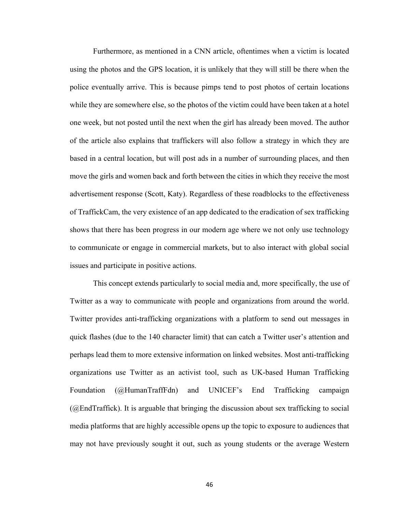Furthermore, as mentioned in a CNN article, oftentimes when a victim is located using the photos and the GPS location, it is unlikely that they will still be there when the police eventually arrive. This is because pimps tend to post photos of certain locations while they are somewhere else, so the photos of the victim could have been taken at a hotel one week, but not posted until the next when the girl has already been moved. The author of the article also explains that traffickers will also follow a strategy in which they are based in a central location, but will post ads in a number of surrounding places, and then move the girls and women back and forth between the cities in which they receive the most advertisement response (Scott, Katy). Regardless of these roadblocks to the effectiveness of TraffickCam, the very existence of an app dedicated to the eradication of sex trafficking shows that there has been progress in our modern age where we not only use technology to communicate or engage in commercial markets, but to also interact with global social issues and participate in positive actions.

This concept extends particularly to social media and, more specifically, the use of Twitter as a way to communicate with people and organizations from around the world. Twitter provides anti-trafficking organizations with a platform to send out messages in quick flashes (due to the 140 character limit) that can catch a Twitter user's attention and perhaps lead them to more extensive information on linked websites. Most anti-trafficking organizations use Twitter as an activist tool, such as UK-based Human Trafficking Foundation (@HumanTraffFdn) and UNICEF's End Trafficking campaign (@EndTraffick). It is arguable that bringing the discussion about sex trafficking to social media platforms that are highly accessible opens up the topic to exposure to audiences that may not have previously sought it out, such as young students or the average Western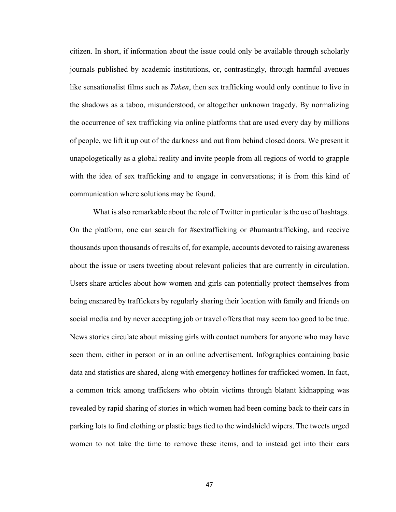citizen. In short, if information about the issue could only be available through scholarly journals published by academic institutions, or, contrastingly, through harmful avenues like sensationalist films such as *Taken*, then sex trafficking would only continue to live in the shadows as a taboo, misunderstood, or altogether unknown tragedy. By normalizing the occurrence of sex trafficking via online platforms that are used every day by millions of people, we lift it up out of the darkness and out from behind closed doors. We present it unapologetically as a global reality and invite people from all regions of world to grapple with the idea of sex trafficking and to engage in conversations; it is from this kind of communication where solutions may be found.

What is also remarkable about the role of Twitter in particular is the use of hashtags. On the platform, one can search for #sextrafficking or #humantrafficking, and receive thousands upon thousands of results of, for example, accounts devoted to raising awareness about the issue or users tweeting about relevant policies that are currently in circulation. Users share articles about how women and girls can potentially protect themselves from being ensnared by traffickers by regularly sharing their location with family and friends on social media and by never accepting job or travel offers that may seem too good to be true. News stories circulate about missing girls with contact numbers for anyone who may have seen them, either in person or in an online advertisement. Infographics containing basic data and statistics are shared, along with emergency hotlines for trafficked women. In fact, a common trick among traffickers who obtain victims through blatant kidnapping was revealed by rapid sharing of stories in which women had been coming back to their cars in parking lots to find clothing or plastic bags tied to the windshield wipers. The tweets urged women to not take the time to remove these items, and to instead get into their cars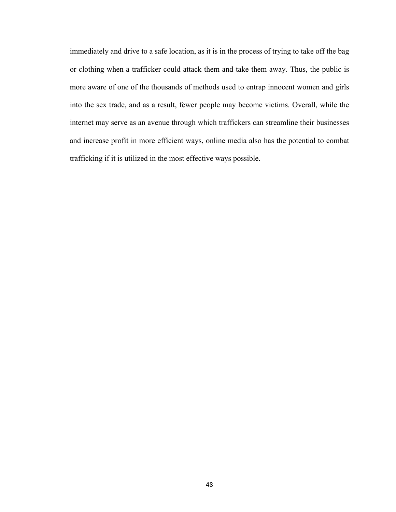immediately and drive to a safe location, as it is in the process of trying to take off the bag or clothing when a trafficker could attack them and take them away. Thus, the public is more aware of one of the thousands of methods used to entrap innocent women and girls into the sex trade, and as a result, fewer people may become victims. Overall, while the internet may serve as an avenue through which traffickers can streamline their businesses and increase profit in more efficient ways, online media also has the potential to combat trafficking if it is utilized in the most effective ways possible.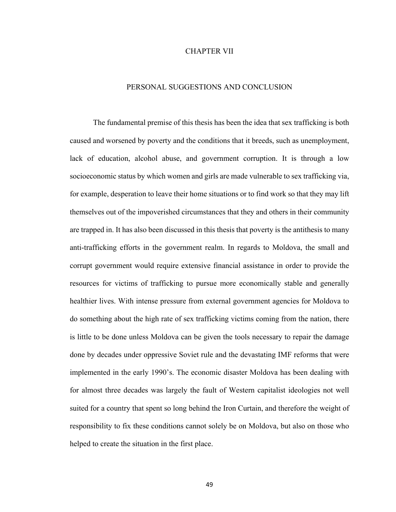#### CHAPTER VII

#### PERSONAL SUGGESTIONS AND CONCLUSION

The fundamental premise of this thesis has been the idea that sex trafficking is both caused and worsened by poverty and the conditions that it breeds, such as unemployment, lack of education, alcohol abuse, and government corruption. It is through a low socioeconomic status by which women and girls are made vulnerable to sex trafficking via, for example, desperation to leave their home situations or to find work so that they may lift themselves out of the impoverished circumstances that they and others in their community are trapped in. It has also been discussed in this thesis that poverty is the antithesis to many anti-trafficking efforts in the government realm. In regards to Moldova, the small and corrupt government would require extensive financial assistance in order to provide the resources for victims of trafficking to pursue more economically stable and generally healthier lives. With intense pressure from external government agencies for Moldova to do something about the high rate of sex trafficking victims coming from the nation, there is little to be done unless Moldova can be given the tools necessary to repair the damage done by decades under oppressive Soviet rule and the devastating IMF reforms that were implemented in the early 1990's. The economic disaster Moldova has been dealing with for almost three decades was largely the fault of Western capitalist ideologies not well suited for a country that spent so long behind the Iron Curtain, and therefore the weight of responsibility to fix these conditions cannot solely be on Moldova, but also on those who helped to create the situation in the first place.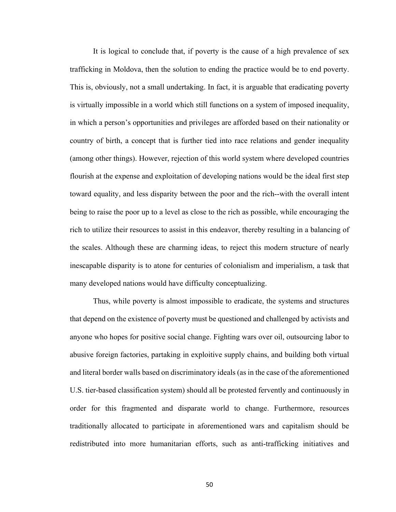It is logical to conclude that, if poverty is the cause of a high prevalence of sex trafficking in Moldova, then the solution to ending the practice would be to end poverty. This is, obviously, not a small undertaking. In fact, it is arguable that eradicating poverty is virtually impossible in a world which still functions on a system of imposed inequality, in which a person's opportunities and privileges are afforded based on their nationality or country of birth, a concept that is further tied into race relations and gender inequality (among other things). However, rejection of this world system where developed countries flourish at the expense and exploitation of developing nations would be the ideal first step toward equality, and less disparity between the poor and the rich--with the overall intent being to raise the poor up to a level as close to the rich as possible, while encouraging the rich to utilize their resources to assist in this endeavor, thereby resulting in a balancing of the scales. Although these are charming ideas, to reject this modern structure of nearly inescapable disparity is to atone for centuries of colonialism and imperialism, a task that many developed nations would have difficulty conceptualizing.

Thus, while poverty is almost impossible to eradicate, the systems and structures that depend on the existence of poverty must be questioned and challenged by activists and anyone who hopes for positive social change. Fighting wars over oil, outsourcing labor to abusive foreign factories, partaking in exploitive supply chains, and building both virtual and literal border walls based on discriminatory ideals (as in the case of the aforementioned U.S. tier-based classification system) should all be protested fervently and continuously in order for this fragmented and disparate world to change. Furthermore, resources traditionally allocated to participate in aforementioned wars and capitalism should be redistributed into more humanitarian efforts, such as anti-trafficking initiatives and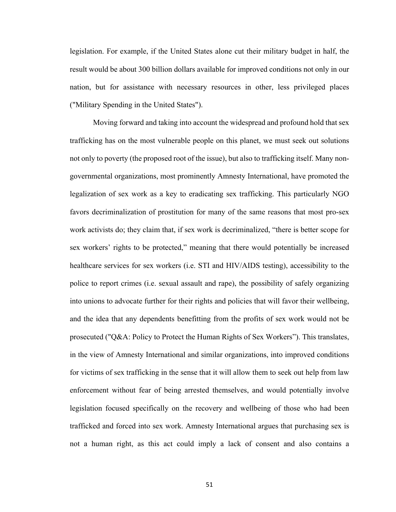legislation. For example, if the United States alone cut their military budget in half, the result would be about 300 billion dollars available for improved conditions not only in our nation, but for assistance with necessary resources in other, less privileged places ("Military Spending in the United States").

Moving forward and taking into account the widespread and profound hold that sex trafficking has on the most vulnerable people on this planet, we must seek out solutions not only to poverty (the proposed root of the issue), but also to trafficking itself. Many nongovernmental organizations, most prominently Amnesty International, have promoted the legalization of sex work as a key to eradicating sex trafficking. This particularly NGO favors decriminalization of prostitution for many of the same reasons that most pro-sex work activists do; they claim that, if sex work is decriminalized, "there is better scope for sex workers' rights to be protected," meaning that there would potentially be increased healthcare services for sex workers (i.e. STI and HIV/AIDS testing), accessibility to the police to report crimes (i.e. sexual assault and rape), the possibility of safely organizing into unions to advocate further for their rights and policies that will favor their wellbeing, and the idea that any dependents benefitting from the profits of sex work would not be prosecuted ("Q&A: Policy to Protect the Human Rights of Sex Workers"). This translates, in the view of Amnesty International and similar organizations, into improved conditions for victims of sex trafficking in the sense that it will allow them to seek out help from law enforcement without fear of being arrested themselves, and would potentially involve legislation focused specifically on the recovery and wellbeing of those who had been trafficked and forced into sex work. Amnesty International argues that purchasing sex is not a human right, as this act could imply a lack of consent and also contains a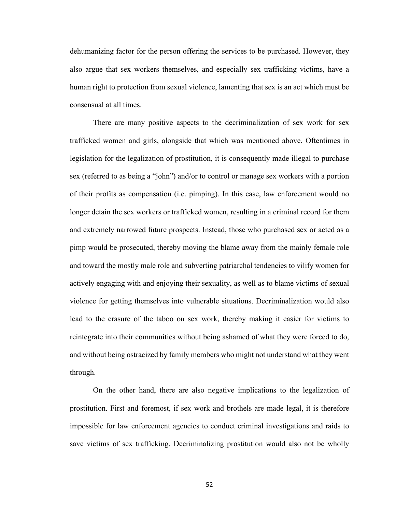dehumanizing factor for the person offering the services to be purchased. However, they also argue that sex workers themselves, and especially sex trafficking victims, have a human right to protection from sexual violence, lamenting that sex is an act which must be consensual at all times.

There are many positive aspects to the decriminalization of sex work for sex trafficked women and girls, alongside that which was mentioned above. Oftentimes in legislation for the legalization of prostitution, it is consequently made illegal to purchase sex (referred to as being a "john") and/or to control or manage sex workers with a portion of their profits as compensation (i.e. pimping). In this case, law enforcement would no longer detain the sex workers or trafficked women, resulting in a criminal record for them and extremely narrowed future prospects. Instead, those who purchased sex or acted as a pimp would be prosecuted, thereby moving the blame away from the mainly female role and toward the mostly male role and subverting patriarchal tendencies to vilify women for actively engaging with and enjoying their sexuality, as well as to blame victims of sexual violence for getting themselves into vulnerable situations. Decriminalization would also lead to the erasure of the taboo on sex work, thereby making it easier for victims to reintegrate into their communities without being ashamed of what they were forced to do, and without being ostracized by family members who might not understand what they went through.

On the other hand, there are also negative implications to the legalization of prostitution. First and foremost, if sex work and brothels are made legal, it is therefore impossible for law enforcement agencies to conduct criminal investigations and raids to save victims of sex trafficking. Decriminalizing prostitution would also not be wholly

52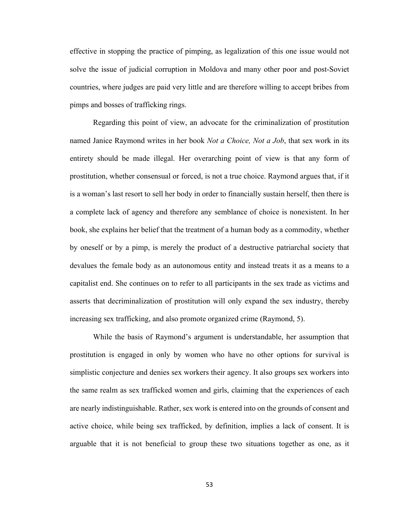effective in stopping the practice of pimping, as legalization of this one issue would not solve the issue of judicial corruption in Moldova and many other poor and post-Soviet countries, where judges are paid very little and are therefore willing to accept bribes from pimps and bosses of trafficking rings.

Regarding this point of view, an advocate for the criminalization of prostitution named Janice Raymond writes in her book *Not a Choice, Not a Job*, that sex work in its entirety should be made illegal. Her overarching point of view is that any form of prostitution, whether consensual or forced, is not a true choice. Raymond argues that, if it is a woman's last resort to sell her body in order to financially sustain herself, then there is a complete lack of agency and therefore any semblance of choice is nonexistent. In her book, she explains her belief that the treatment of a human body as a commodity, whether by oneself or by a pimp, is merely the product of a destructive patriarchal society that devalues the female body as an autonomous entity and instead treats it as a means to a capitalist end. She continues on to refer to all participants in the sex trade as victims and asserts that decriminalization of prostitution will only expand the sex industry, thereby increasing sex trafficking, and also promote organized crime (Raymond, 5).

While the basis of Raymond's argument is understandable, her assumption that prostitution is engaged in only by women who have no other options for survival is simplistic conjecture and denies sex workers their agency. It also groups sex workers into the same realm as sex trafficked women and girls, claiming that the experiences of each are nearly indistinguishable. Rather, sex work is entered into on the grounds of consent and active choice, while being sex trafficked, by definition, implies a lack of consent. It is arguable that it is not beneficial to group these two situations together as one, as it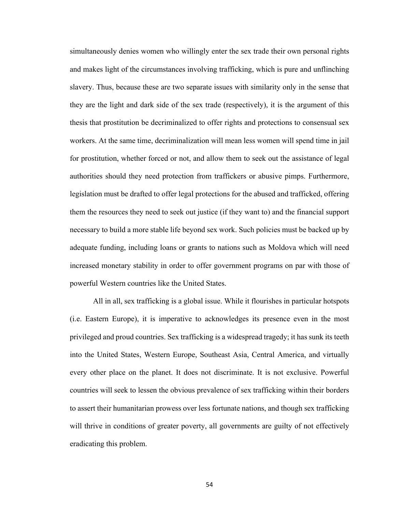simultaneously denies women who willingly enter the sex trade their own personal rights and makes light of the circumstances involving trafficking, which is pure and unflinching slavery. Thus, because these are two separate issues with similarity only in the sense that they are the light and dark side of the sex trade (respectively), it is the argument of this thesis that prostitution be decriminalized to offer rights and protections to consensual sex workers. At the same time, decriminalization will mean less women will spend time in jail for prostitution, whether forced or not, and allow them to seek out the assistance of legal authorities should they need protection from traffickers or abusive pimps. Furthermore, legislation must be drafted to offer legal protections for the abused and trafficked, offering them the resources they need to seek out justice (if they want to) and the financial support necessary to build a more stable life beyond sex work. Such policies must be backed up by adequate funding, including loans or grants to nations such as Moldova which will need increased monetary stability in order to offer government programs on par with those of powerful Western countries like the United States.

All in all, sex trafficking is a global issue. While it flourishes in particular hotspots (i.e. Eastern Europe), it is imperative to acknowledges its presence even in the most privileged and proud countries. Sex trafficking is a widespread tragedy; it has sunk its teeth into the United States, Western Europe, Southeast Asia, Central America, and virtually every other place on the planet. It does not discriminate. It is not exclusive. Powerful countries will seek to lessen the obvious prevalence of sex trafficking within their borders to assert their humanitarian prowess over less fortunate nations, and though sex trafficking will thrive in conditions of greater poverty, all governments are guilty of not effectively eradicating this problem.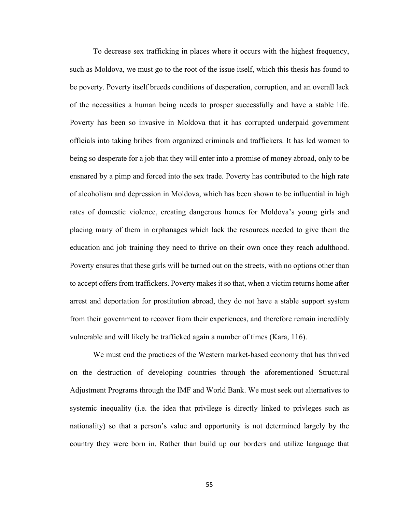To decrease sex trafficking in places where it occurs with the highest frequency, such as Moldova, we must go to the root of the issue itself, which this thesis has found to be poverty. Poverty itself breeds conditions of desperation, corruption, and an overall lack of the necessities a human being needs to prosper successfully and have a stable life. Poverty has been so invasive in Moldova that it has corrupted underpaid government officials into taking bribes from organized criminals and traffickers. It has led women to being so desperate for a job that they will enter into a promise of money abroad, only to be ensnared by a pimp and forced into the sex trade. Poverty has contributed to the high rate of alcoholism and depression in Moldova, which has been shown to be influential in high rates of domestic violence, creating dangerous homes for Moldova's young girls and placing many of them in orphanages which lack the resources needed to give them the education and job training they need to thrive on their own once they reach adulthood. Poverty ensures that these girls will be turned out on the streets, with no options other than to accept offers from traffickers. Poverty makes it so that, when a victim returns home after arrest and deportation for prostitution abroad, they do not have a stable support system from their government to recover from their experiences, and therefore remain incredibly vulnerable and will likely be trafficked again a number of times (Kara, 116).

We must end the practices of the Western market-based economy that has thrived on the destruction of developing countries through the aforementioned Structural Adjustment Programs through the IMF and World Bank. We must seek out alternatives to systemic inequality (i.e. the idea that privilege is directly linked to privleges such as nationality) so that a person's value and opportunity is not determined largely by the country they were born in. Rather than build up our borders and utilize language that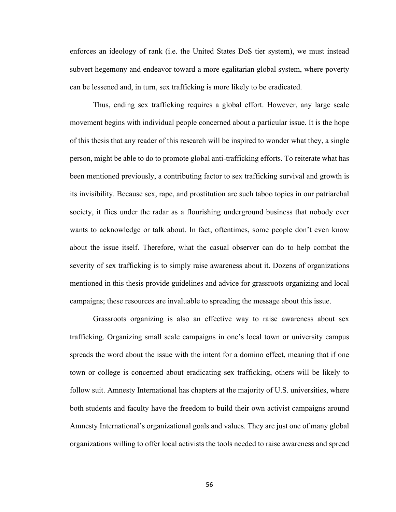enforces an ideology of rank (i.e. the United States DoS tier system), we must instead subvert hegemony and endeavor toward a more egalitarian global system, where poverty can be lessened and, in turn, sex trafficking is more likely to be eradicated.

Thus, ending sex trafficking requires a global effort. However, any large scale movement begins with individual people concerned about a particular issue. It is the hope of this thesis that any reader of this research will be inspired to wonder what they, a single person, might be able to do to promote global anti-trafficking efforts. To reiterate what has been mentioned previously, a contributing factor to sex trafficking survival and growth is its invisibility. Because sex, rape, and prostitution are such taboo topics in our patriarchal society, it flies under the radar as a flourishing underground business that nobody ever wants to acknowledge or talk about. In fact, oftentimes, some people don't even know about the issue itself. Therefore, what the casual observer can do to help combat the severity of sex trafficking is to simply raise awareness about it. Dozens of organizations mentioned in this thesis provide guidelines and advice for grassroots organizing and local campaigns; these resources are invaluable to spreading the message about this issue.

Grassroots organizing is also an effective way to raise awareness about sex trafficking. Organizing small scale campaigns in one's local town or university campus spreads the word about the issue with the intent for a domino effect, meaning that if one town or college is concerned about eradicating sex trafficking, others will be likely to follow suit. Amnesty International has chapters at the majority of U.S. universities, where both students and faculty have the freedom to build their own activist campaigns around Amnesty International's organizational goals and values. They are just one of many global organizations willing to offer local activists the tools needed to raise awareness and spread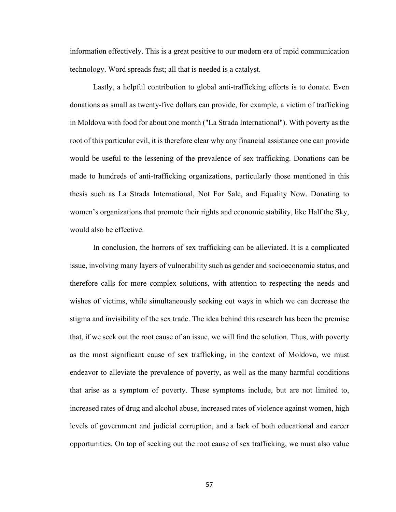information effectively. This is a great positive to our modern era of rapid communication technology. Word spreads fast; all that is needed is a catalyst.

Lastly, a helpful contribution to global anti-trafficking efforts is to donate. Even donations as small as twenty-five dollars can provide, for example, a victim of trafficking in Moldova with food for about one month ("La Strada International"). With poverty as the root of this particular evil, it is therefore clear why any financial assistance one can provide would be useful to the lessening of the prevalence of sex trafficking. Donations can be made to hundreds of anti-trafficking organizations, particularly those mentioned in this thesis such as La Strada International, Not For Sale, and Equality Now. Donating to women's organizations that promote their rights and economic stability, like Half the Sky, would also be effective.

In conclusion, the horrors of sex trafficking can be alleviated. It is a complicated issue, involving many layers of vulnerability such as gender and socioeconomic status, and therefore calls for more complex solutions, with attention to respecting the needs and wishes of victims, while simultaneously seeking out ways in which we can decrease the stigma and invisibility of the sex trade. The idea behind this research has been the premise that, if we seek out the root cause of an issue, we will find the solution. Thus, with poverty as the most significant cause of sex trafficking, in the context of Moldova, we must endeavor to alleviate the prevalence of poverty, as well as the many harmful conditions that arise as a symptom of poverty. These symptoms include, but are not limited to, increased rates of drug and alcohol abuse, increased rates of violence against women, high levels of government and judicial corruption, and a lack of both educational and career opportunities. On top of seeking out the root cause of sex trafficking, we must also value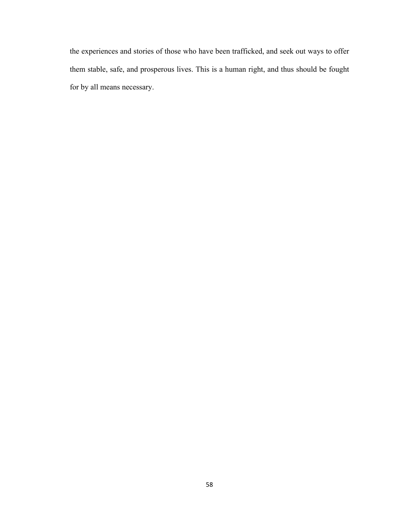the experiences and stories of those who have been trafficked, and seek out ways to offer them stable, safe, and prosperous lives. This is a human right, and thus should be fought for by all means necessary.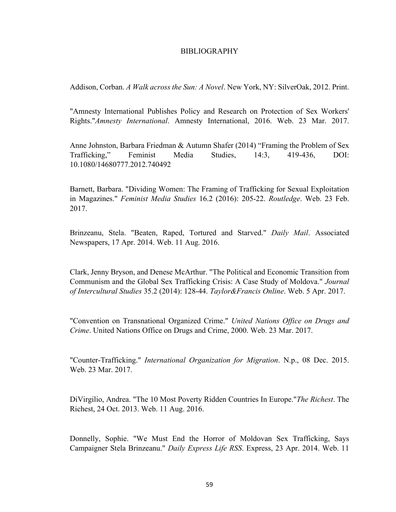### BIBLIOGRAPHY

Addison, Corban. *A Walk across the Sun: A Novel*. New York, NY: SilverOak, 2012. Print.

"Amnesty International Publishes Policy and Research on Protection of Sex Workers' Rights."*Amnesty International*. Amnesty International, 2016. Web. 23 Mar. 2017.

Anne Johnston, Barbara Friedman & Autumn Shafer (2014) "Framing the Problem of Sex Trafficking," Feminist Media Studies, 14:3, 419-436, DOI: 10.1080/14680777.2012.740492

Barnett, Barbara. "Dividing Women: The Framing of Trafficking for Sexual Exploitation in Magazines." *Feminist Media Studies* 16.2 (2016): 205-22. *Routledge*. Web. 23 Feb. 2017.

Brinzeanu, Stela. "Beaten, Raped, Tortured and Starved." *Daily Mail*. Associated Newspapers, 17 Apr. 2014. Web. 11 Aug. 2016.

Clark, Jenny Bryson, and Denese McArthur. "The Political and Economic Transition from Communism and the Global Sex Trafficking Crisis: A Case Study of Moldova." *Journal of Intercultural Studies* 35.2 (2014): 128-44. *Taylor&Francis Online*. Web. 5 Apr. 2017.

"Convention on Transnational Organized Crime." *United Nations Office on Drugs and Crime*. United Nations Office on Drugs and Crime, 2000. Web. 23 Mar. 2017.

"Counter-Trafficking." *International Organization for Migration*. N.p., 08 Dec. 2015. Web. 23 Mar. 2017.

DiVirgilio, Andrea. "The 10 Most Poverty Ridden Countries In Europe."*The Richest*. The Richest, 24 Oct. 2013. Web. 11 Aug. 2016.

Donnelly, Sophie. "We Must End the Horror of Moldovan Sex Trafficking, Says Campaigner Stela Brinzeanu." *Daily Express Life RSS*. Express, 23 Apr. 2014. Web. 11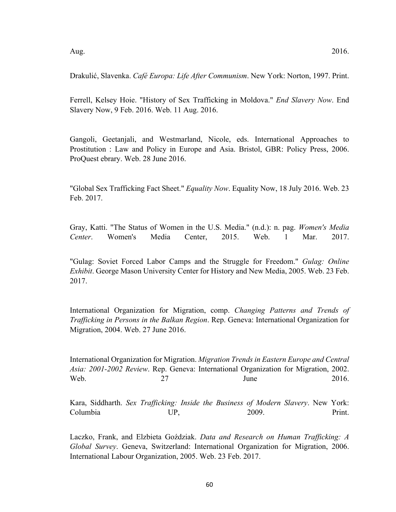Drakulić, Slavenka. *Café Europa: Life After Communism*. New York: Norton, 1997. Print.

Ferrell, Kelsey Hoie. "History of Sex Trafficking in Moldova." *End Slavery Now*. End Slavery Now, 9 Feb. 2016. Web. 11 Aug. 2016.

Gangoli, Geetanjali, and Westmarland, Nicole, eds. International Approaches to Prostitution : Law and Policy in Europe and Asia. Bristol, GBR: Policy Press, 2006. ProQuest ebrary. Web. 28 June 2016.

"Global Sex Trafficking Fact Sheet." *Equality Now*. Equality Now, 18 July 2016. Web. 23 Feb. 2017.

Gray, Katti. "The Status of Women in the U.S. Media." (n.d.): n. pag. *Women's Media Center*. Women's Media Center, 2015. Web. 1 Mar. 2017.

"Gulag: Soviet Forced Labor Camps and the Struggle for Freedom." *Gulag: Online Exhibit*. George Mason University Center for History and New Media, 2005. Web. 23 Feb. 2017.

International Organization for Migration, comp. *Changing Patterns and Trends of Trafficking in Persons in the Balkan Region*. Rep. Geneva: International Organization for Migration, 2004. Web. 27 June 2016.

International Organization for Migration. *Migration Trends in Eastern Europe and Central Asia: 2001-2002 Review*. Rep. Geneva: International Organization for Migration, 2002. Web. 27 June 2016.

Kara, Siddharth. *Sex Trafficking: Inside the Business of Modern Slavery*. New York: Columbia UP, 2009. Print.

Laczko, Frank, and Elzbieta Goździak. *Data and Research on Human Trafficking: A Global Survey*. Geneva, Switzerland: International Organization for Migration, 2006. International Labour Organization, 2005. Web. 23 Feb. 2017.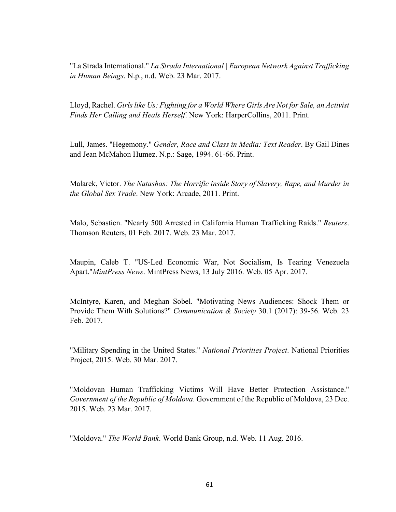"La Strada International." *La Strada International | European Network Against Trafficking in Human Beings*. N.p., n.d. Web. 23 Mar. 2017.

Lloyd, Rachel. *Girls like Us: Fighting for a World Where Girls Are Not for Sale, an Activist Finds Her Calling and Heals Herself*. New York: HarperCollins, 2011. Print.

Lull, James. "Hegemony." *Gender, Race and Class in Media: Text Reader*. By Gail Dines and Jean McMahon Humez. N.p.: Sage, 1994. 61-66. Print.

Malarek, Victor. *The Natashas: The Horrific inside Story of Slavery, Rape, and Murder in the Global Sex Trade*. New York: Arcade, 2011. Print.

Malo, Sebastien. "Nearly 500 Arrested in California Human Trafficking Raids." *Reuters*. Thomson Reuters, 01 Feb. 2017. Web. 23 Mar. 2017.

Maupin, Caleb T. "US-Led Economic War, Not Socialism, Is Tearing Venezuela Apart."*MintPress News*. MintPress News, 13 July 2016. Web. 05 Apr. 2017.

McIntyre, Karen, and Meghan Sobel. "Motivating News Audiences: Shock Them or Provide Them With Solutions?" *Communication & Society* 30.1 (2017): 39-56. Web. 23 Feb. 2017.

"Military Spending in the United States." *National Priorities Project*. National Priorities Project, 2015. Web. 30 Mar. 2017.

"Moldovan Human Trafficking Victims Will Have Better Protection Assistance." *Government of the Republic of Moldova*. Government of the Republic of Moldova, 23 Dec. 2015. Web. 23 Mar. 2017.

"Moldova." *The World Bank*. World Bank Group, n.d. Web. 11 Aug. 2016.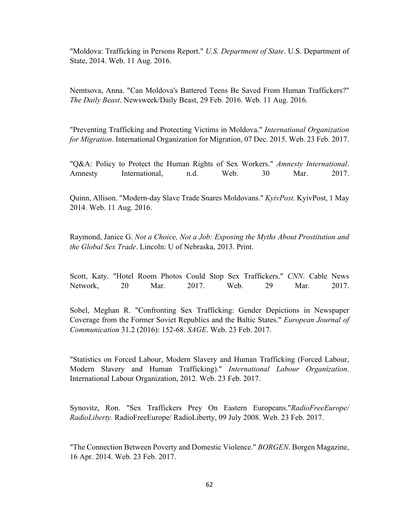"Moldova: Trafficking in Persons Report." *U.S. Department of State*. U.S. Department of State, 2014. Web. 11 Aug. 2016.

Nemtsova, Anna. "Can Moldova's Battered Teens Be Saved From Human Traffickers?" *The Daily Beast*. Newsweek/Daily Beast, 29 Feb. 2016. Web. 11 Aug. 2016.

"Preventing Trafficking and Protecting Victims in Moldova." *International Organization for Migration*. International Organization for Migration, 07 Dec. 2015. Web. 23 Feb. 2017.

"Q&A: Policy to Protect the Human Rights of Sex Workers." *Amnesty International*. Amnesty International, n.d. Web. 30 Mar. 2017.

Quinn, Allison. "Modern-day Slave Trade Snares Moldovans." *KyivPost*. KyivPost, 1 May 2014. Web. 11 Aug. 2016.

Raymond, Janice G. *Not a Choice, Not a Job: Exposing the Myths About Prostitution and the Global Sex Trade*. Lincoln: U of Nebraska, 2013. Print.

Scott, Katy. "Hotel Room Photos Could Stop Sex Traffickers." *CNN*. Cable News Network, 20 Mar. 2017. Web. 29 Mar. 2017.

Sobel, Meghan R. "Confronting Sex Trafficking: Gender Depictions in Newspaper Coverage from the Former Soviet Republics and the Baltic States." *European Journal of Communication* 31.2 (2016): 152-68. *SAGE*. Web. 23 Feb. 2017.

"Statistics on Forced Labour, Modern Slavery and Human Trafficking (Forced Labour, Modern Slavery and Human Trafficking)." *International Labour Organization*. International Labour Organization, 2012. Web. 23 Feb. 2017.

Synovitz, Ron. "Sex Traffickers Prey On Eastern Europeans."*RadioFreeEurope/ RadioLiberty*. RadioFreeEurope/ RadioLiberty, 09 July 2008. Web. 23 Feb. 2017.

"The Connection Between Poverty and Domestic Violence." *BORGEN*. Borgen Magazine, 16 Apr. 2014. Web. 23 Feb. 2017.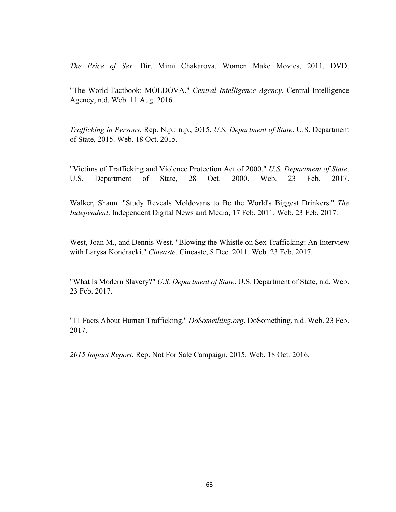*The Price of Sex*. Dir. Mimi Chakarova. Women Make Movies, 2011. DVD.

"The World Factbook: MOLDOVA." *Central Intelligence Agency*. Central Intelligence Agency, n.d. Web. 11 Aug. 2016.

*Trafficking in Persons*. Rep. N.p.: n.p., 2015. *U.S. Department of State*. U.S. Department of State, 2015. Web. 18 Oct. 2015.

"Victims of Trafficking and Violence Protection Act of 2000." *U.S. Department of State*. U.S. Department of State, 28 Oct. 2000. Web. 23 Feb. 2017.

Walker, Shaun. "Study Reveals Moldovans to Be the World's Biggest Drinkers." *The Independent*. Independent Digital News and Media, 17 Feb. 2011. Web. 23 Feb. 2017.

West, Joan M., and Dennis West. "Blowing the Whistle on Sex Trafficking: An Interview with Larysa Kondracki." *Cineaste*. Cineaste, 8 Dec. 2011. Web. 23 Feb. 2017.

"What Is Modern Slavery?" *U.S. Department of State*. U.S. Department of State, n.d. Web. 23 Feb. 2017.

"11 Facts About Human Trafficking." *DoSomething.org*. DoSomething, n.d. Web. 23 Feb. 2017.

*2015 Impact Report*. Rep. Not For Sale Campaign, 2015. Web. 18 Oct. 2016.